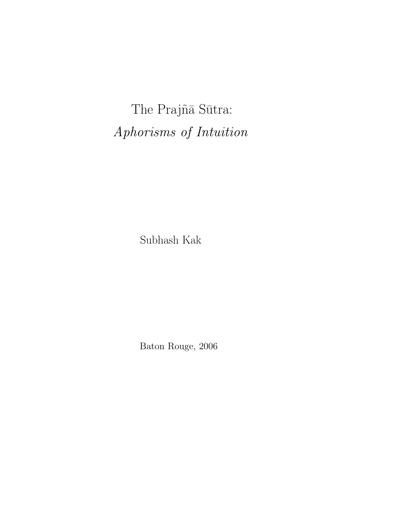The Prajñā Sūtra: Aphorisms of Intuition

Subhash Kak

Baton Rouge, 2006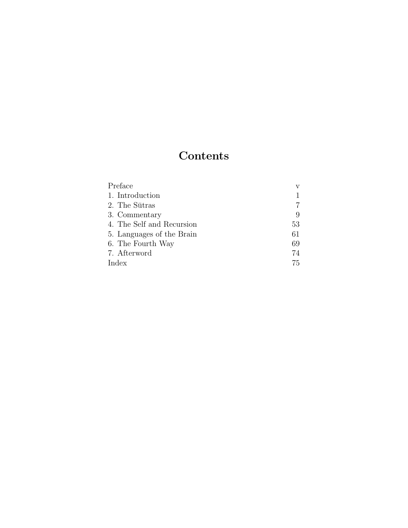# Contents

| Preface                   |    |
|---------------------------|----|
| 1. Introduction           |    |
| 2. The Sūtras             |    |
| 3. Commentary             | 9  |
| 4. The Self and Recursion | 53 |
| 5. Languages of the Brain | 61 |
| 6. The Fourth Way         | 69 |
| 7. Afterword              | 74 |
| Index                     | 75 |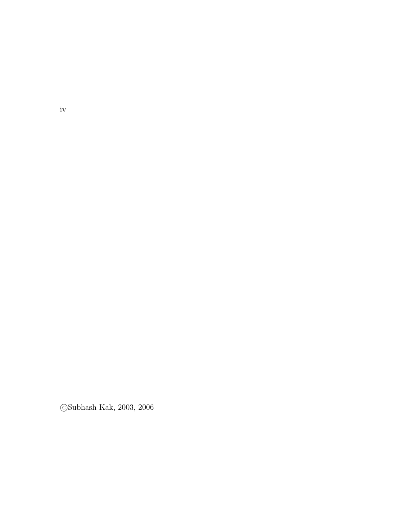$\bigcirc$  Subhash Kak, 2003, 2006

iv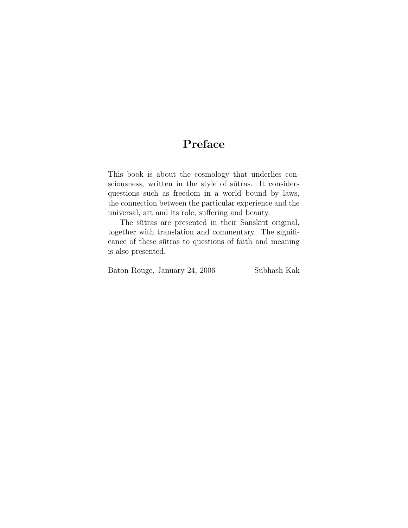## Preface

This book is about the cosmology that underlies consciousness, written in the style of sutras. It considers questions such as freedom in a world bound by laws, the connection between the particular experience and the universal, art and its role, suffering and beauty.

The sutras are presented in their Sanskrit original, together with translation and commentary. The significance of these sutras to questions of faith and meaning is also presented.

| Baton Rouge, January 24, 2006 | Subhash Kak |
|-------------------------------|-------------|
|-------------------------------|-------------|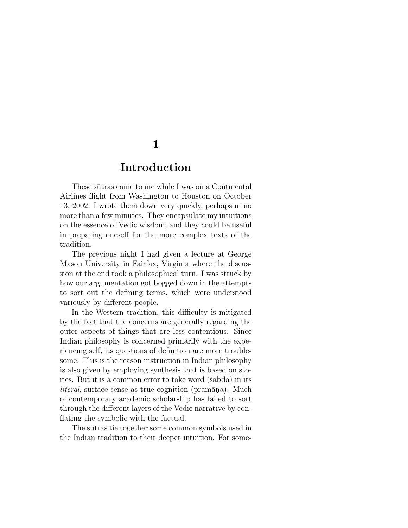### Introduction

These sutras came to me while I was on a Continental Airlines flight from Washington to Houston on October 13, 2002. I wrote them down very quickly, perhaps in no more than a few minutes. They encapsulate my intuitions on the essence of Vedic wisdom, and they could be useful in preparing oneself for the more complex texts of the tradition.

The previous night I had given a lecture at George Mason University in Fairfax, Virginia where the discussion at the end took a philosophical turn. I was struck by how our argumentation got bogged down in the attempts to sort out the defining terms, which were understood variously by different people.

In the Western tradition, this difficulty is mitigated by the fact that the concerns are generally regarding the outer aspects of things that are less contentious. Since Indian philosophy is concerned primarily with the experiencing self, its questions of definition are more troublesome. This is the reason instruction in Indian philosophy is also given by employing synthesis that is based on stories. But it is a common error to take word (sabda) in its  $literal$ , surface sense as true cognition (pramāna). Much of contemporary academic scholarship has failed to sort through the different layers of the Vedic narrative by conflating the symbolic with the factual.

The sutras tie together some common symbols used in the Indian tradition to their deeper intuition. For some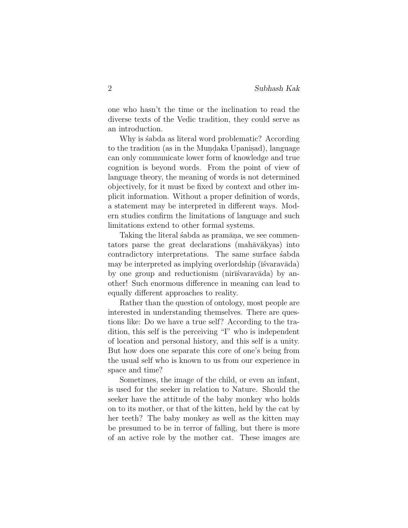one who hasn't the time or the inclination to read the diverse texts of the Vedic tradition, they could serve as an introduction.

Why is stabda as literal word problematic? According to the tradition (as in the Mundaka Upanisad), language can only communicate lower form of knowledge and true cognition is beyond words. From the point of view of language theory, the meaning of words is not determined objectively, for it must be fixed by context and other implicit information. Without a proper definition of words, a statement may be interpreted in different ways. Modern studies confirm the limitations of language and such limitations extend to other formal systems.

Taking the literal sabda as pramāna, we see commentators parse the great declarations (mahāvākyas) into contradictory interpretations. The same surface stabda may be interpreted as implying overlordship ( $\bar{i}$ svarav $\bar{a}$ da) by one group and reductionism (nirū́svaravāda) by another! Such enormous difference in meaning can lead to equally different approaches to reality.

Rather than the question of ontology, most people are interested in understanding themselves. There are questions like: Do we have a true self? According to the tradition, this self is the perceiving "I" who is independent of location and personal history, and this self is a unity. But how does one separate this core of one's being from the usual self who is known to us from our experience in space and time?

Sometimes, the image of the child, or even an infant, is used for the seeker in relation to Nature. Should the seeker have the attitude of the baby monkey who holds on to its mother, or that of the kitten, held by the cat by her teeth? The baby monkey as well as the kitten may be presumed to be in terror of falling, but there is more of an active role by the mother cat. These images are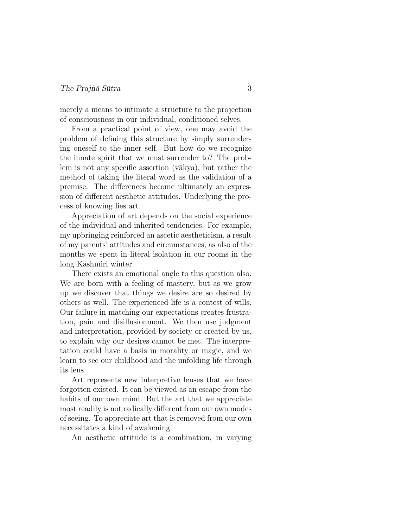merely a means to intimate a structure to the projection of consciousness in our individual, conditioned selves.

From a practical point of view, one may avoid the problem of defining this structure by simply surrendering oneself to the inner self. But how do we recognize the innate spirit that we must surrender to? The problem is not any specific assertion  $(\overline{vakya})$ , but rather the method of taking the literal word as the validation of a premise. The differences become ultimately an expression of different aesthetic attitudes. Underlying the process of knowing lies art.

Appreciation of art depends on the social experience of the individual and inherited tendencies. For example, my upbringing reinforced an ascetic aestheticism, a result of my parents' attitudes and circumstances, as also of the months we spent in literal isolation in our rooms in the long Kashmiri winter.

There exists an emotional angle to this question also. We are born with a feeling of mastery, but as we grow up we discover that things we desire are so desired by others as well. The experienced life is a contest of wills. Our failure in matching our expectations creates frustration, pain and disillusionment. We then use judgment and interpretation, provided by society or created by us, to explain why our desires cannot be met. The interpretation could have a basis in morality or magic, and we learn to see our childhood and the unfolding life through its lens.

Art represents new interpretive lenses that we have forgotten existed. It can be viewed as an escape from the habits of our own mind. But the art that we appreciate most readily is not radically different from our own modes of seeing. To appreciate art that is removed from our own necessitates a kind of awakening.

An aesthetic attitude is a combination, in varying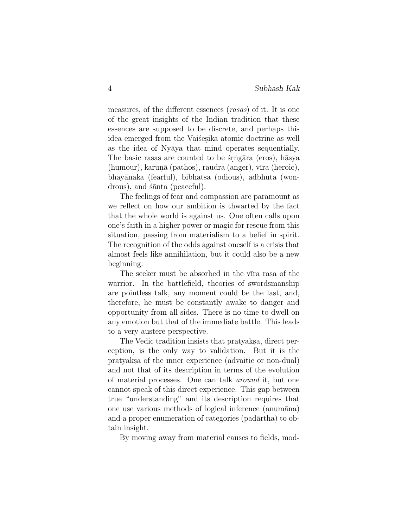measures, of the different essences (rasas) of it. It is one of the great insights of the Indian tradition that these essences are supposed to be discrete, and perhaps this idea emerged from the Vaišesika atomic doctrine as well as the idea of Nyaya that mind operates sequentially. The basic rasas are counted to be stringara (eros), hasya  $(\text{human})$ , karun $\bar{a}$  (pathos), raudra (anger), vīra (heroic), bhay¯anaka (fearful), b¯ıbhatsa (odious), adbhuta (wondrous), and  $\sin \alpha$  (peaceful).

The feelings of fear and compassion are paramount as we reflect on how our ambition is thwarted by the fact that the whole world is against us. One often calls upon one's faith in a higher power or magic for rescue from this situation, passing from materialism to a belief in spirit. The recognition of the odds against oneself is a crisis that almost feels like annihilation, but it could also be a new beginning.

The seeker must be absorbed in the vira rasa of the warrior. In the battlefield, theories of swordsmanship are pointless talk, any moment could be the last, and, therefore, he must be constantly awake to danger and opportunity from all sides. There is no time to dwell on any emotion but that of the immediate battle. This leads to a very austere perspective.

The Vedic tradition insists that pratyaks. direct perception, is the only way to validation. But it is the pratyaks.a of the inner experience (advaitic or non-dual) and not that of its description in terms of the evolution of material processes. One can talk around it, but one cannot speak of this direct experience. This gap between true "understanding" and its description requires that one use various methods of logical inference (anumāna) and a proper enumeration of categories (pad $\bar{a}$ rtha) to obtain insight.

By moving away from material causes to fields, mod-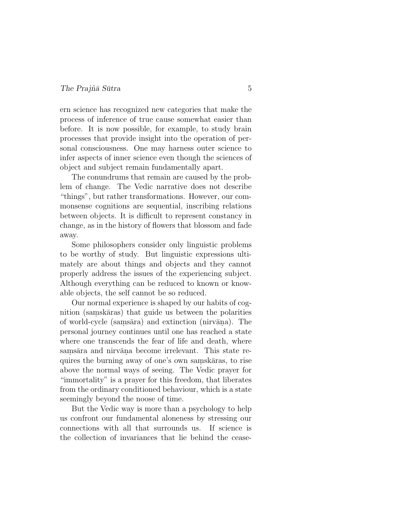ern science has recognized new categories that make the process of inference of true cause somewhat easier than before. It is now possible, for example, to study brain processes that provide insight into the operation of personal consciousness. One may harness outer science to infer aspects of inner science even though the sciences of object and subject remain fundamentally apart.

The conundrums that remain are caused by the problem of change. The Vedic narrative does not describe "things", but rather transformations. However, our commonsense cognitions are sequential, inscribing relations between objects. It is difficult to represent constancy in change, as in the history of flowers that blossom and fade away.

Some philosophers consider only linguistic problems to be worthy of study. But linguistic expressions ultimately are about things and objects and they cannot properly address the issues of the experiencing subject. Although everything can be reduced to known or knowable objects, the self cannot be so reduced.

Our normal experience is shaped by our habits of cognition (samskāras) that guide us between the polarities of world-cycle (samsāra) and extinction (nirvāna). The personal journey continues until one has reached a state where one transcends the fear of life and death, where samsāra and nirvāņa become irrelevant. This state requires the burning away of one's own samskāras, to rise above the normal ways of seeing. The Vedic prayer for "immortality" is a prayer for this freedom, that liberates from the ordinary conditioned behaviour, which is a state seemingly beyond the noose of time.

But the Vedic way is more than a psychology to help us confront our fundamental aloneness by stressing our connections with all that surrounds us. If science is the collection of invariances that lie behind the cease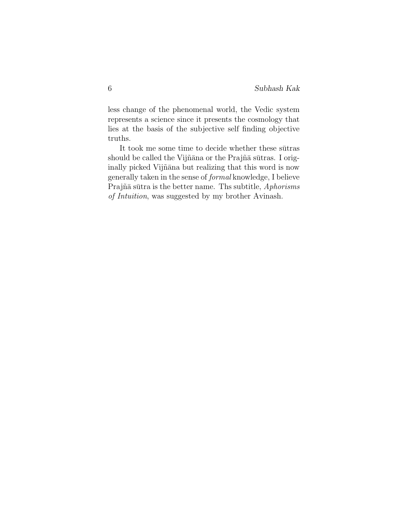less change of the phenomenal world, the Vedic system represents a science since it presents the cosmology that lies at the basis of the subjective self finding objective truths.

It took me some time to decide whether these sutras should be called the Vijñāna or the Prajñā sūtras. I originally picked Vijñāna but realizing that this word is now generally taken in the sense of formal knowledge, I believe Prajñā sūtra is the better name. Ths subtitle, Aphorisms of Intuition, was suggested by my brother Avinash.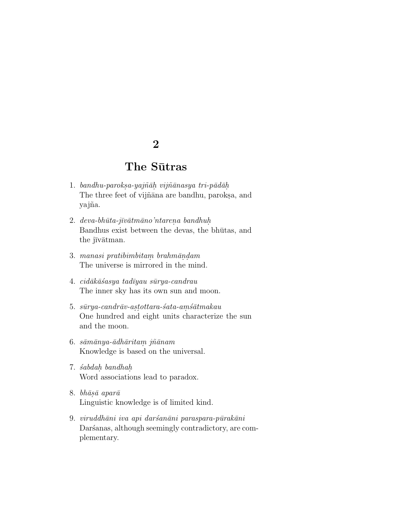## The Sūtras

- 1. bandhu-paroksa-yajñāh vijñānasya tri-pādāh The three feet of vijñana are bandhu, paroksa, and yajña.
- $2. \text{deva-bhūta-jīvātmāno'ntarena bandhuh.}$ Bandhus exist between the devas, the bhutas, and the jīvātman.
- 3. manasi pratibimbitam brahmāndam The universe is mirrored in the mind.
- $4. \; cid\bar{a}k\bar{a}\acute{s}asya\; tadiyau\; s\bar{u}rya\text{-}c and rau$ The inner sky has its own sun and moon.
- $5. \;\; s\bar{u}ry$ a- $c and r\bar{a}v$ - $a$ s $tottara$ - $s$ ʻa $ta$ - $a$ m $s\bar{a}t$ m $akau$ One hundred and eight units characterize the sun and the moon.
- $6.$   $s\bar{a}m\bar{a}ny$ a- $\bar{a}dh\bar{a}rit$ a $m$  $j\tilde{n}\bar{a}nam$ Knowledge is based on the universal.
- 7. ´sabdah. bandhah. Word associations lead to paradox.
- 8.  $bh\bar{a}s\bar{a}$  apar $\bar{a}$ Linguistic knowledge is of limited kind.
- 9. viruddhāni iva api daršanāni paraspara-pūrakāni Daršanas, although seemingly contradictory, are complementary.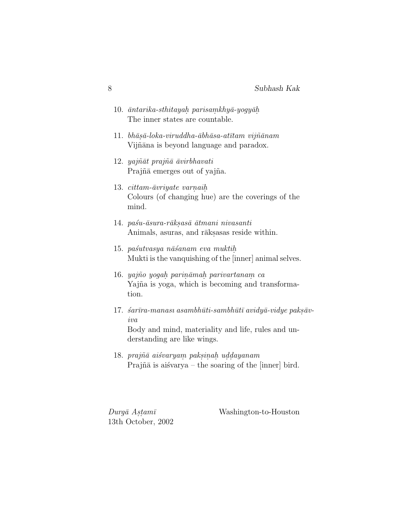| 10. $\bar{a}$ ntarika-sthitayah parisamkhy $\bar{a}$ -yogy $\bar{a}$ h<br>The inner states are countable. |
|-----------------------------------------------------------------------------------------------------------|
| 11. bhāsā-loka-viruddha-ābhāsa-atītam vijñānam<br>Vijñāna is beyond language and paradox.                 |
|                                                                                                           |

- 12. yajñāt prajñā āvirbhavati Prajña emerges out of yajña.
- 13.  $cittam-āvriyate varnaih$ . Colours (of changing hue) are the coverings of the mind.
- 14. paśu-āsura-rāksasā ātmani nivasanti Animals, asuras, and rāksasas reside within.
- 15. paśutvasya nāśanam eva muktih Mukti is the vanquishing of the [inner] animal selves.
- 16. yajño yogah parināmah parivartanam ca Yajña is yoga, which is becoming and transformation.
- 17.  $\acute{s}a\bar{r}\bar{r}a$ -manası asambhūti-sambhūtī avidyā-vidye paksāviva Body and mind, materiality and life, rules and understanding are like wings.
- $18. praj\tilde{n}\bar{a}$  ai $\acute{s}varyam$  paksinah uddayanam Prajn $\bar{a}$  is aisvarya – the soaring of the [inner] bird.

 $Durg\bar{a}$  Astamī 13th October, 2002 Washington-to-Houston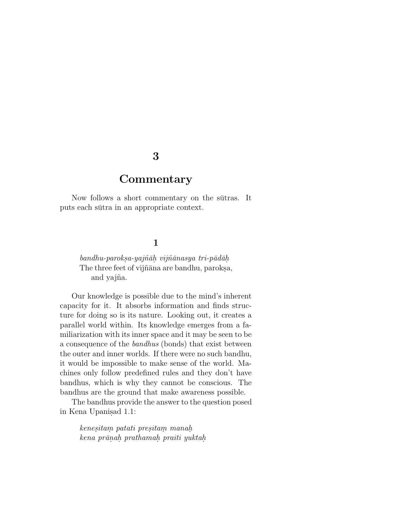### **Commentary**

Now follows a short commentary on the sutras. It puts each sutra in an appropriate context.

### 1

 $bandhu-paroksa-yajn\bar{a}h. vijn\bar{a}nasya tri-p\bar{a}d\bar{a}h.$ The three feet of vijñana are bandhu, paroksa, and yajña.

Our knowledge is possible due to the mind's inherent capacity for it. It absorbs information and finds structure for doing so is its nature. Looking out, it creates a parallel world within. Its knowledge emerges from a familiarization with its inner space and it may be seen to be a consequence of the bandhus (bonds) that exist between the outer and inner worlds. If there were no such bandhu, it would be impossible to make sense of the world. Machines only follow predefined rules and they don't have bandhus, which is why they cannot be conscious. The bandhus are the ground that make awareness possible.

The bandhus provide the answer to the question posed in Kena Upanisad 1.1:

 $\it kenesitam$  patati presitam manah. kena prānah prathamah praiti yuktah.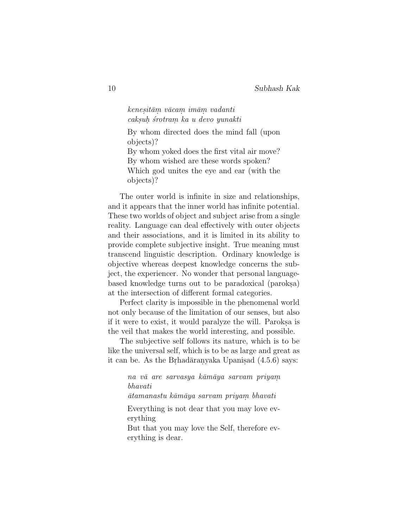$kenesit\bar{a}m$  v $\bar{a}cam$   $im\bar{a}m$  vadanti caksuh śrotram ka u devo yunakti

By whom directed does the mind fall (upon objects)? By whom yoked does the first vital air move? By whom wished are these words spoken? Which god unites the eye and ear (with the

objects)?

The outer world is infinite in size and relationships, and it appears that the inner world has infinite potential. These two worlds of object and subject arise from a single reality. Language can deal effectively with outer objects and their associations, and it is limited in its ability to provide complete subjective insight. True meaning must transcend linguistic description. Ordinary knowledge is objective whereas deepest knowledge concerns the subject, the experiencer. No wonder that personal languagebased knowledge turns out to be paradoxical (paroksa) at the intersection of different formal categories.

Perfect clarity is impossible in the phenomenal world not only because of the limitation of our senses, but also if it were to exist, it would paralyze the will. Paroks a is the veil that makes the world interesting, and possible.

The subjective self follows its nature, which is to be like the universal self, which is to be as large and great as it can be. As the Brhad $\bar{a}$ ranyaka Upanisad  $(4.5.6)$  says:

> na vā are sarvasya kāmāya sarvam priyam bhavati

¯atamanastu k¯am¯aya sarvam priyam. bhavati

Everything is not dear that you may love everything

But that you may love the Self, therefore everything is dear.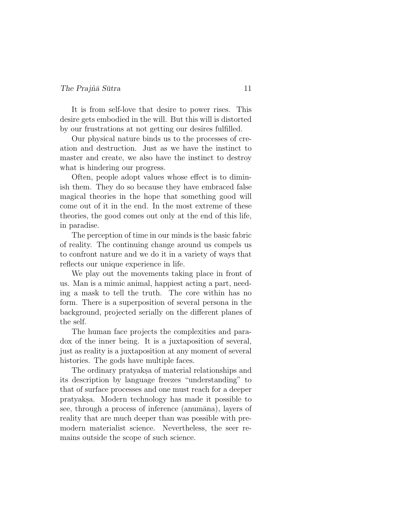It is from self-love that desire to power rises. This desire gets embodied in the will. But this will is distorted by our frustrations at not getting our desires fulfilled.

Our physical nature binds us to the processes of creation and destruction. Just as we have the instinct to master and create, we also have the instinct to destroy what is hindering our progress.

Often, people adopt values whose effect is to diminish them. They do so because they have embraced false magical theories in the hope that something good will come out of it in the end. In the most extreme of these theories, the good comes out only at the end of this life, in paradise.

The perception of time in our minds is the basic fabric of reality. The continuing change around us compels us to confront nature and we do it in a variety of ways that reflects our unique experience in life.

We play out the movements taking place in front of us. Man is a mimic animal, happiest acting a part, needing a mask to tell the truth. The core within has no form. There is a superposition of several persona in the background, projected serially on the different planes of the self.

The human face projects the complexities and paradox of the inner being. It is a juxtaposition of several, just as reality is a juxtaposition at any moment of several histories. The gods have multiple faces.

The ordinary pratyaks a of material relationships and its description by language freezes "understanding" to that of surface processes and one must reach for a deeper pratyaks.a. Modern technology has made it possible to see, through a process of inference (anumāna), layers of reality that are much deeper than was possible with premodern materialist science. Nevertheless, the seer remains outside the scope of such science.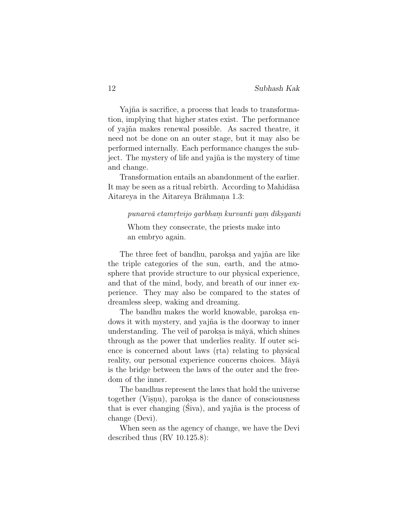Yajña is sacrifice, a process that leads to transformation, implying that higher states exist. The performance of yajna˜ makes renewal possible. As sacred theatre, it need not be done on an outer stage, but it may also be performed internally. Each performance changes the subject. The mystery of life and yajna is the mystery of time and change.

Transformation entails an abandonment of the earlier. It may be seen as a ritual rebirth. According to Mahidasa Aitareya in the Aitareya Brāhmana 1.3:

### $punarv\bar{a}~etamrtvijo~garbham~kurvanti~yam~dīksyanti$

Whom they consecrate, the priests make into an embryo again.

The three feet of bandhu, paroks a and yajna are like the triple categories of the sun, earth, and the atmosphere that provide structure to our physical experience, and that of the mind, body, and breath of our inner experience. They may also be compared to the states of dreamless sleep, waking and dreaming.

The bandhu makes the world knowable, paroks aendows it with mystery, and yajna is the doorway to inner understanding. The veil of paroks a is may  $\bar{a}$ , which shines through as the power that underlies reality. If outer science is concerned about laws (rta) relating to physical reality, our personal experience concerns choices. Maya is the bridge between the laws of the outer and the freedom of the inner.

The bandhus represent the laws that hold the universe together (Visnu), paroks a is the dance of consciousness that is ever changing  $(Siva)$ , and yajna is the process of change (Devi).

When seen as the agency of change, we have the Devi described thus (RV 10.125.8):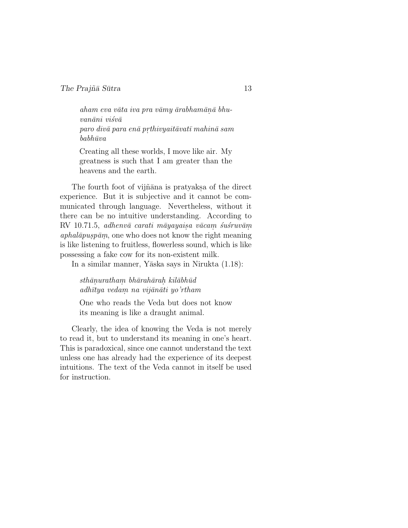$aham$  eva vāta iva pra vāmy ārabhamānā bhu $van\bar{a}ni\ visv\bar{a}$  $para\ via\ para\ en\bar{a}\ prthivyait\bar{a}vat\bar{\imath}\ mahin\bar{a}\ sam$  $b$ abh $\bar{u}$ va

Creating all these worlds, I move like air. My greatness is such that I am greater than the heavens and the earth.

The fourth foot of vijñana is pratyaks a of the direct experience. But it is subjective and it cannot be communicated through language. Nevertheless, without it there can be no intuitive understanding. According to  $RV$  10.71.5, adhenvā carati māyayaisa vācam sustruvām.  $aphal\bar{a}pusp\bar{a}m$ , one who does not know the right meaning is like listening to fruitless, flowerless sound, which is like possessing a fake cow for its non-existent milk.

In a similar manner, Yāska says in Nirukta  $(1.18)$ :

 $sthānurathan bhārahārah. kilābhūd$ adhītya vedam na vijānāti yo'rtham

One who reads the Veda but does not know its meaning is like a draught animal.

Clearly, the idea of knowing the Veda is not merely to read it, but to understand its meaning in one's heart. This is paradoxical, since one cannot understand the text unless one has already had the experience of its deepest intuitions. The text of the Veda cannot in itself be used for instruction.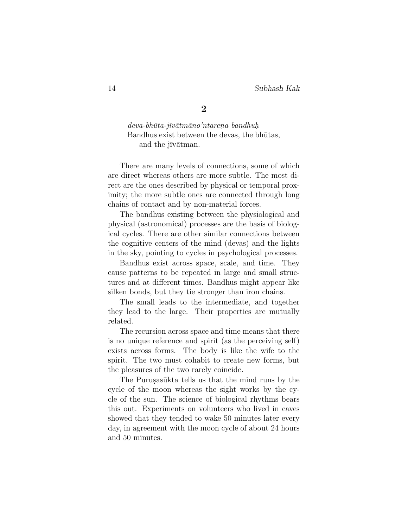$deva-bhūta-jivātmāno'ntarena. bandhuh$ Bandhus exist between the devas, the bhutas, and the jīvātman.

There are many levels of connections, some of which are direct whereas others are more subtle. The most direct are the ones described by physical or temporal proximity; the more subtle ones are connected through long chains of contact and by non-material forces.

The bandhus existing between the physiological and physical (astronomical) processes are the basis of biological cycles. There are other similar connections between the cognitive centers of the mind (devas) and the lights in the sky, pointing to cycles in psychological processes.

Bandhus exist across space, scale, and time. They cause patterns to be repeated in large and small structures and at different times. Bandhus might appear like silken bonds, but they tie stronger than iron chains.

The small leads to the intermediate, and together they lead to the large. Their properties are mutually related.

The recursion across space and time means that there is no unique reference and spirit (as the perceiving self) exists across forms. The body is like the wife to the spirit. The two must cohabit to create new forms, but the pleasures of the two rarely coincide.

The Purus asukta tells us that the mind runs by the cycle of the moon whereas the sight works by the cycle of the sun. The science of biological rhythms bears this out. Experiments on volunteers who lived in caves showed that they tended to wake 50 minutes later every day, in agreement with the moon cycle of about 24 hours and 50 minutes.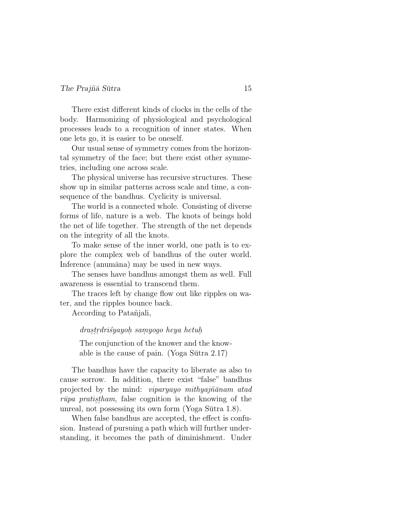#### $The Prai\tilde{n}\bar{a} S\bar{u}$ tra  $15$

There exist different kinds of clocks in the cells of the body. Harmonizing of physiological and psychological processes leads to a recognition of inner states. When one lets go, it is easier to be oneself.

Our usual sense of symmetry comes from the horizontal symmetry of the face; but there exist other symmetries, including one across scale.

The physical universe has recursive structures. These show up in similar patterns across scale and time, a consequence of the bandhus. Cyclicity is universal.

The world is a connected whole. Consisting of diverse forms of life, nature is a web. The knots of beings hold the net of life together. The strength of the net depends on the integrity of all the knots.

To make sense of the inner world, one path is to explore the complex web of bandhus of the outer world. Inference (anumāna) may be used in new ways.

The senses have bandhus amongst them as well. Full awareness is essential to transcend them.

The traces left by change flow out like ripples on water, and the ripples bounce back.

According to Patantiali,

 $\emph{drasstrdrisyayoh samyogo heya hetuh}$ 

The conjunction of the knower and the knowable is the cause of pain. (Yoga Sutra  $2.17$ )

The bandhus have the capacity to liberate as also to cause sorrow. In addition, there exist "false" bandhus projected by the mind: *viparyayo mithyajñānam atad*  $r\bar{u}pa\ pratistham$ , false cognition is the knowing of the unreal, not possessing its own form (Yoga Sūtra  $1.8$ ).

When false bandhus are accepted, the effect is confusion. Instead of pursuing a path which will further understanding, it becomes the path of diminishment. Under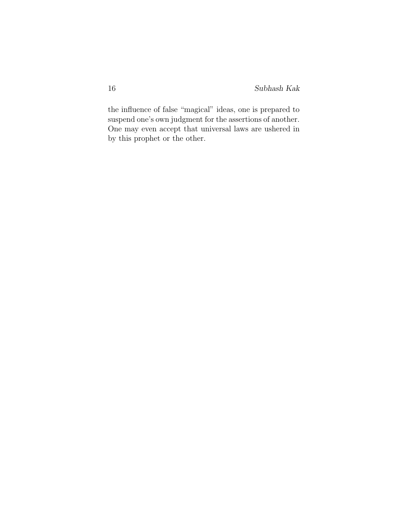the influence of false "magical" ideas, one is prepared to suspend one's own judgment for the assertions of another. One may even accept that universal laws are ushered in by this prophet or the other.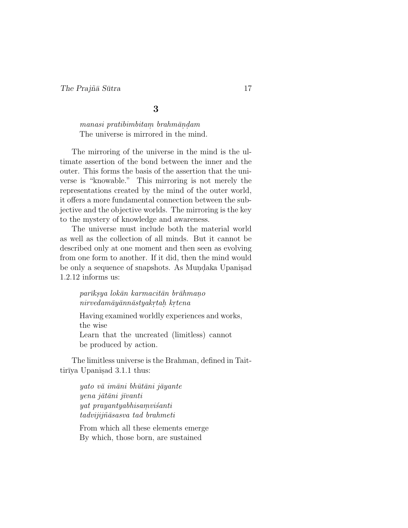manasi pratibimbitam brahmāndam The universe is mirrored in the mind.

The mirroring of the universe in the mind is the ultimate assertion of the bond between the inner and the outer. This forms the basis of the assertion that the universe is "knowable." This mirroring is not merely the representations created by the mind of the outer world, it offers a more fundamental connection between the subjective and the objective worlds. The mirroring is the key to the mystery of knowledge and awareness.

The universe must include both the material world as well as the collection of all minds. But it cannot be described only at one moment and then seen as evolving from one form to another. If it did, then the mind would be only a sequence of snapshots. As Mundaka Upanis. 1.2.12 informs us:

### parīksya lokān karmacitān brāhmano  $\emph{nirvedamāyānnāstyakrta}$ h. kr $tena$

Having examined worldly experiences and works, the wise Learn that the uncreated (limitless) cannot be produced by action.

The limitless universe is the Brahman, defined in Taittirīya Upanis. $3.1.1$  thus:

> $yato\ v\bar{a}\ im\bar{a}ni\ bh\bar{u}\bar{t}\bar{a}ni\ j\bar{a}yante$  $yena\ j\bar{a}t\bar{a}ni\ j\bar{i}vanti$  $y$ at prayantyabhisam $v$ isanti tadvijijn $\tilde{a}$ sasva tad brahmeti

From which all these elements emerge By which, those born, are sustained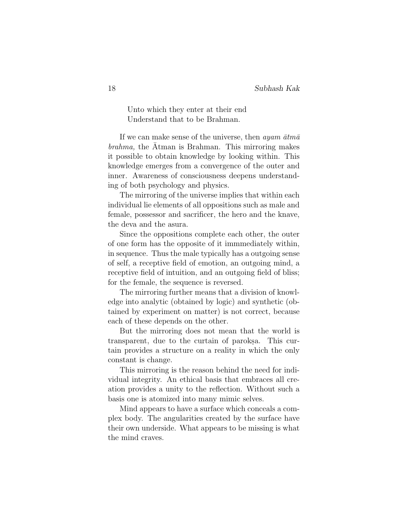Unto which they enter at their end Understand that to be Brahman.

If we can make sense of the universe, then *ayam*  $\bar{a}tm\bar{a}$  $\mathit{brahma}$ , the Atman is Brahman. This mirroring makes it possible to obtain knowledge by looking within. This knowledge emerges from a convergence of the outer and inner. Awareness of consciousness deepens understanding of both psychology and physics.

The mirroring of the universe implies that within each individual lie elements of all oppositions such as male and female, possessor and sacrificer, the hero and the knave, the deva and the asura.

Since the oppositions complete each other, the outer of one form has the opposite of it immmediately within, in sequence. Thus the male typically has a outgoing sense of self, a receptive field of emotion, an outgoing mind, a receptive field of intuition, and an outgoing field of bliss; for the female, the sequence is reversed.

The mirroring further means that a division of knowledge into analytic (obtained by logic) and synthetic (obtained by experiment on matter) is not correct, because each of these depends on the other.

But the mirroring does not mean that the world is transparent, due to the curtain of paroks. This curtain provides a structure on a reality in which the only constant is change.

This mirroring is the reason behind the need for individual integrity. An ethical basis that embraces all creation provides a unity to the reflection. Without such a basis one is atomized into many mimic selves.

Mind appears to have a surface which conceals a complex body. The angularities created by the surface have their own underside. What appears to be missing is what the mind craves.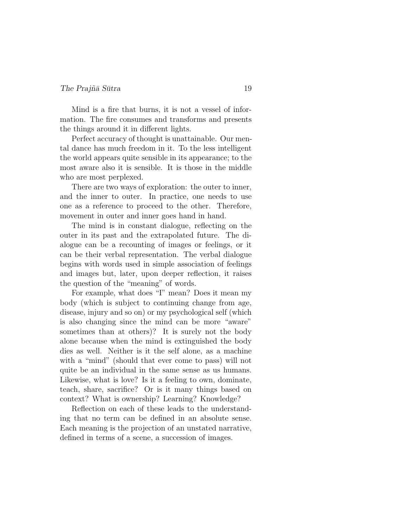#### $The Prai\tilde{n}\bar{a} S\bar{u}$ tra  $19$

Mind is a fire that burns, it is not a vessel of information. The fire consumes and transforms and presents the things around it in different lights.

Perfect accuracy of thought is unattainable. Our mental dance has much freedom in it. To the less intelligent the world appears quite sensible in its appearance; to the most aware also it is sensible. It is those in the middle who are most perplexed.

There are two ways of exploration: the outer to inner, and the inner to outer. In practice, one needs to use one as a reference to proceed to the other. Therefore, movement in outer and inner goes hand in hand.

The mind is in constant dialogue, reflecting on the outer in its past and the extrapolated future. The dialogue can be a recounting of images or feelings, or it can be their verbal representation. The verbal dialogue begins with words used in simple association of feelings and images but, later, upon deeper reflection, it raises the question of the "meaning" of words.

For example, what does "I" mean? Does it mean my body (which is subject to continuing change from age, disease, injury and so on) or my psychological self (which is also changing since the mind can be more "aware" sometimes than at others)? It is surely not the body alone because when the mind is extinguished the body dies as well. Neither is it the self alone, as a machine with a "mind" (should that ever come to pass) will not quite be an individual in the same sense as us humans. Likewise, what is love? Is it a feeling to own, dominate, teach, share, sacrifice? Or is it many things based on context? What is ownership? Learning? Knowledge?

Reflection on each of these leads to the understanding that no term can be defined in an absolute sense. Each meaning is the projection of an unstated narrative, defined in terms of a scene, a succession of images.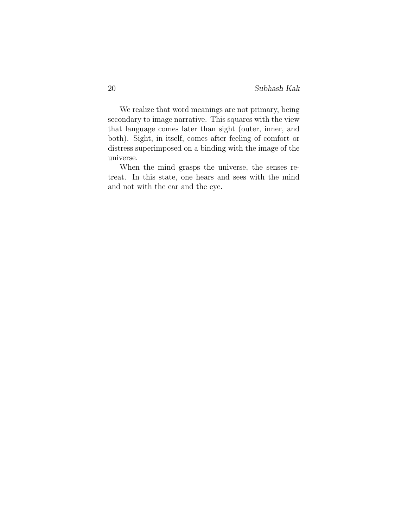We realize that word meanings are not primary, being secondary to image narrative. This squares with the view that language comes later than sight (outer, inner, and both). Sight, in itself, comes after feeling of comfort or distress superimposed on a binding with the image of the universe.

When the mind grasps the universe, the senses retreat. In this state, one hears and sees with the mind and not with the ear and the eye.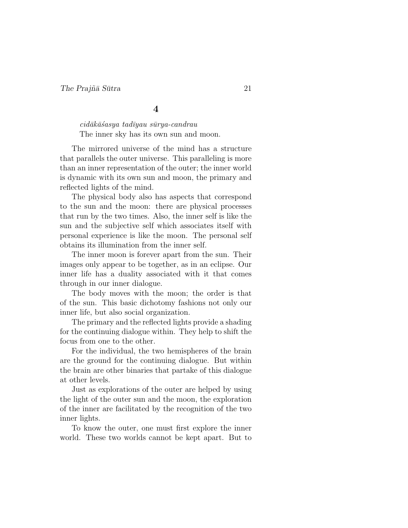$cid\bar{a}k\bar{a}s$ asya tad $\bar{u}y$ au s $\bar{u}ry$ a-candrau The inner sky has its own sun and moon.

The mirrored universe of the mind has a structure that parallels the outer universe. This paralleling is more than an inner representation of the outer; the inner world is dynamic with its own sun and moon, the primary and reflected lights of the mind.

The physical body also has aspects that correspond to the sun and the moon: there are physical processes that run by the two times. Also, the inner self is like the sun and the subjective self which associates itself with personal experience is like the moon. The personal self obtains its illumination from the inner self.

The inner moon is forever apart from the sun. Their images only appear to be together, as in an eclipse. Our inner life has a duality associated with it that comes through in our inner dialogue.

The body moves with the moon; the order is that of the sun. This basic dichotomy fashions not only our inner life, but also social organization.

The primary and the reflected lights provide a shading for the continuing dialogue within. They help to shift the focus from one to the other.

For the individual, the two hemispheres of the brain are the ground for the continuing dialogue. But within the brain are other binaries that partake of this dialogue at other levels.

Just as explorations of the outer are helped by using the light of the outer sun and the moon, the exploration of the inner are facilitated by the recognition of the two inner lights.

To know the outer, one must first explore the inner world. These two worlds cannot be kept apart. But to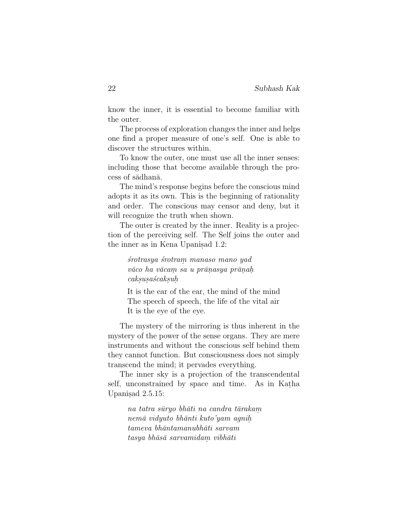know the inner, it is essential to become familiar with the outer.

The process of exploration changes the inner and helps one find a proper measure of one's self. One is able to discover the structures within.

To know the outer, one must use all the inner senses: including those that become available through the process of sādhanā.

The mind's response begins before the conscious mind adopts it as its own. This is the beginning of rationality and order. The conscious may censor and deny, but it will recognize the truth when shown.

The outer is created by the inner. Reality is a projection of the perceiving self. The Self joins the outer and the inner as in Kena Upanisad 1.2:

> ´srotrasya ´srotram. manaso mano yad  $v\bar a co$  ha v $\bar a c a m$  sa u pr $\bar a n a s y a$  pr $\bar a n a h$  $caksusa'scaksuh$

It is the ear of the ear, the mind of the mind The speech of speech, the life of the vital air It is the eye of the eye.

The mystery of the mirroring is thus inherent in the mystery of the power of the sense organs. They are mere instruments and without the conscious self behind them they cannot function. But consciousness does not simply transcend the mind; it pervades everything.

The inner sky is a projection of the transcendental self, unconstrained by space and time. As in Katha Upanisad 2.5.15:

> na tatra sūryo bhāti na candra tārakam nem¯a vidyuto bh¯anti kuto'yam agnih.  $tameva$  bh $\bar{a}ntamanubh\bar{a}ti$  sarvam  $tasya bhāsā sarvamidam. vibhāti$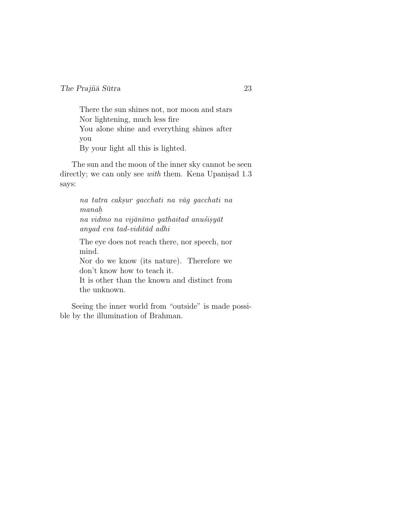There the sun shines not, nor moon and stars Nor lightening, much less fire You alone shine and everything shines after you By your light all this is lighted.

The sun and the moon of the inner sky cannot be seen directly; we can only see *with* them. Kena Upanisad  $1.3$ says:

> na tatra caksur gacchati na vāg gacchati na manah. na vidmo na vijānīmo yathaitad anuśisyāt

 $anyad$  eva tad-vidit $\bar{a}d$  adhi

The eye does not reach there, nor speech, nor mind. Nor do we know (its nature). Therefore we don't know how to teach it. It is other than the known and distinct from

the unknown.

Seeing the inner world from "outside" is made possible by the illumination of Brahman.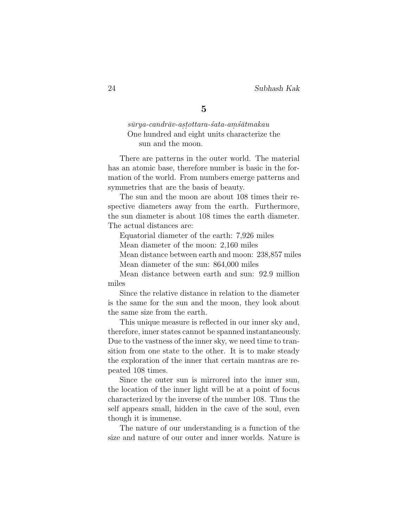$s\bar{u}rya\text{-}c and r\bar{a}v\text{-}a s\bar{t}ot tara\text{-}s'ata\text{-}ams'\bar{a}tmaka u$ One hundred and eight units characterize the sun and the moon.

There are patterns in the outer world. The material has an atomic base, therefore number is basic in the formation of the world. From numbers emerge patterns and symmetries that are the basis of beauty.

The sun and the moon are about 108 times their respective diameters away from the earth. Furthermore, the sun diameter is about 108 times the earth diameter. The actual distances are:

Equatorial diameter of the earth: 7,926 miles

Mean diameter of the moon: 2,160 miles

Mean distance between earth and moon: 238,857 miles

Mean diameter of the sun: 864,000 miles

Mean distance between earth and sun: 92.9 million miles

Since the relative distance in relation to the diameter is the same for the sun and the moon, they look about the same size from the earth.

This unique measure is reflected in our inner sky and, therefore, inner states cannot be spanned instantaneously. Due to the vastness of the inner sky, we need time to transition from one state to the other. It is to make steady the exploration of the inner that certain mantras are repeated 108 times.

Since the outer sun is mirrored into the inner sun, the location of the inner light will be at a point of focus characterized by the inverse of the number 108. Thus the self appears small, hidden in the cave of the soul, even though it is immense.

The nature of our understanding is a function of the size and nature of our outer and inner worlds. Nature is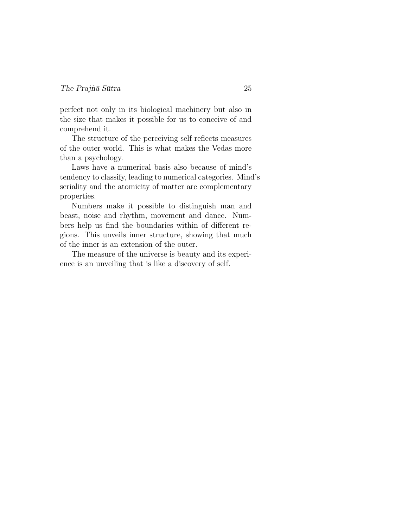perfect not only in its biological machinery but also in the size that makes it possible for us to conceive of and comprehend it.

The structure of the perceiving self reflects measures of the outer world. This is what makes the Vedas more than a psychology.

Laws have a numerical basis also because of mind's tendency to classify, leading to numerical categories. Mind's seriality and the atomicity of matter are complementary properties.

Numbers make it possible to distinguish man and beast, noise and rhythm, movement and dance. Numbers help us find the boundaries within of different regions. This unveils inner structure, showing that much of the inner is an extension of the outer.

The measure of the universe is beauty and its experience is an unveiling that is like a discovery of self.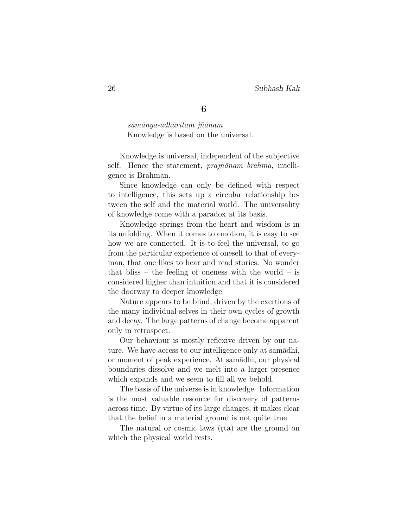$s\bar{a}m\bar{a}ny$ a- $\bar{a}d$ h $\bar{a}rit$ a $m$  $\ j\tilde{n}\bar{a}nam$ Knowledge is based on the universal.

Knowledge is universal, independent of the subjective self. Hence the statement,  $prajnānam$  brahma, intelligence is Brahman.

Since knowledge can only be defined with respect to intelligence, this sets up a circular relationship between the self and the material world. The universality of knowledge come with a paradox at its basis.

Knowledge springs from the heart and wisdom is in its unfolding. When it comes to emotion, it is easy to see how we are connected. It is to feel the universal, to go from the particular experience of oneself to that of everyman, that one likes to hear and read stories. No wonder that bliss – the feeling of oneness with the world – is considered higher than intuition and that it is considered the doorway to deeper knowledge.

Nature appears to be blind, driven by the exertions of the many individual selves in their own cycles of growth and decay. The large patterns of change become apparent only in retrospect.

Our behaviour is mostly reflexive driven by our nature. We have access to our intelligence only at samadhi, or moment of peak experience. At samadhi, our physical boundaries dissolve and we melt into a larger presence which expands and we seem to fill all we behold.

The basis of the universe is in knowledge. Information is the most valuable resource for discovery of patterns across time. By virtue of its large changes, it makes clear that the belief in a material ground is not quite true.

The natural or cosmic laws (rta) are the ground on which the physical world rests.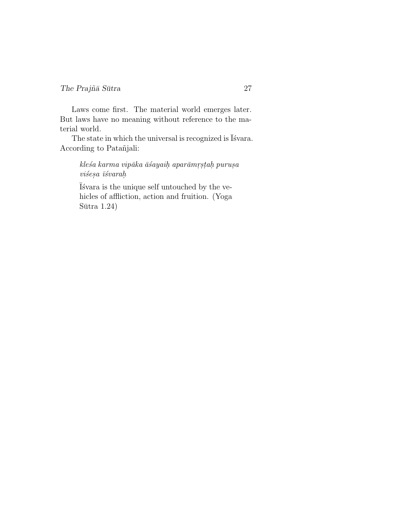Laws come first. The material world emerges later. But laws have no meaning without reference to the material world.

The state in which the universal is recognized is  $\bar{I}$ 'svara. According to Patañjali:

> $k$ le $\acute{s}a$  karma vipāka ā $\acute{s}a$ yai $h$  aparāmr $\acute{s}$ ta $h$  puru $\acute{s}a$  $vi\acute{s}esa\ \bar{i}\acute{s}varah$

 $\bar{I}$  svara is the unique self untouched by the vehicles of affliction, action and fruition. (Yoga  $Sūtra 1.24)$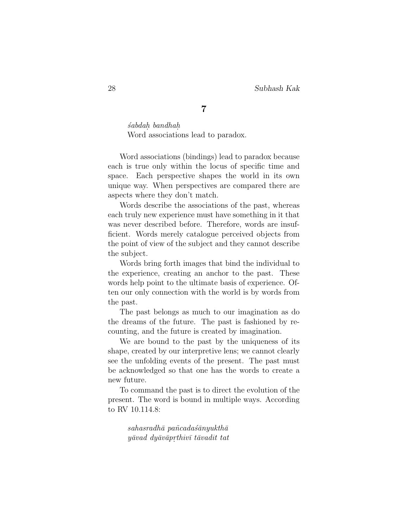´sabdah. bandhah. Word associations lead to paradox.

Word associations (bindings) lead to paradox because each is true only within the locus of specific time and space. Each perspective shapes the world in its own unique way. When perspectives are compared there are aspects where they don't match.

Words describe the associations of the past, whereas each truly new experience must have something in it that was never described before. Therefore, words are insufficient. Words merely catalogue perceived objects from the point of view of the subject and they cannot describe the subject.

Words bring forth images that bind the individual to the experience, creating an anchor to the past. These words help point to the ultimate basis of experience. Often our only connection with the world is by words from the past.

The past belongs as much to our imagination as do the dreams of the future. The past is fashioned by recounting, and the future is created by imagination.

We are bound to the past by the uniqueness of its shape, created by our interpretive lens; we cannot clearly see the unfolding events of the present. The past must be acknowledged so that one has the words to create a new future.

To command the past is to direct the evolution of the present. The word is bound in multiple ways. According to RV 10.114.8:

> $sahasradh\bar{a}$  pancadas $\bar{a}$ nyukth $\bar{a}$  $y\bar{a}vad\ dy\bar{a}v\bar{a}p$ rthiv $\bar{\imath}\ t\bar{a}vad$ it tat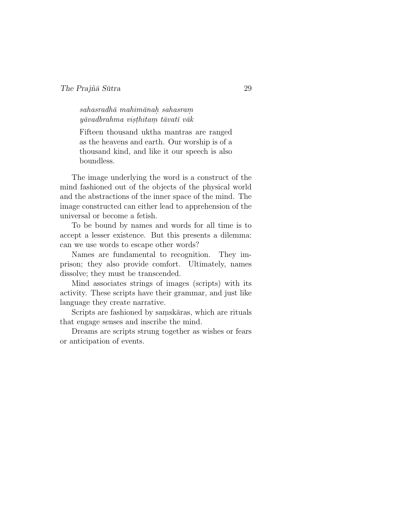$sahasradh\bar{a}$  mahim $\bar{a}$ nah. sahasram.  $y\bar{a}vadbrahma\;vis\;thitam\;t\bar{a}vat\bar{v}\;v\bar{a}k$ 

Fifteen thousand uktha mantras are ranged as the heavens and earth. Our worship is of a thousand kind, and like it our speech is also boundless.

The image underlying the word is a construct of the mind fashioned out of the objects of the physical world and the abstractions of the inner space of the mind. The image constructed can either lead to apprehension of the universal or become a fetish.

To be bound by names and words for all time is to accept a lesser existence. But this presents a dilemma: can we use words to escape other words?

Names are fundamental to recognition. They imprison; they also provide comfort. Ultimately, names dissolve; they must be transcended.

Mind associates strings of images (scripts) with its activity. These scripts have their grammar, and just like language they create narrative.

Scripts are fashioned by samskāras, which are rituals that engage senses and inscribe the mind.

Dreams are scripts strung together as wishes or fears or anticipation of events.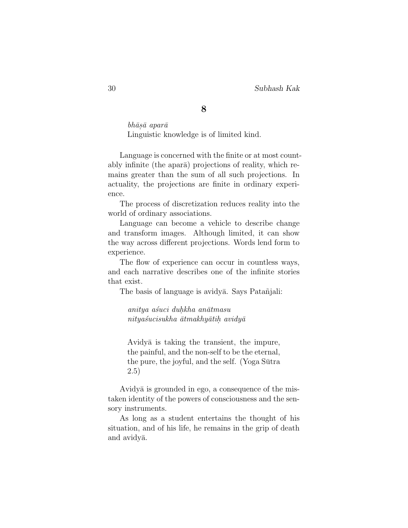$bh\bar{a}s\bar{a}$  apar $\bar{a}$ Linguistic knowledge is of limited kind.

Language is concerned with the finite or at most countably infinite (the apara) projections of reality, which remains greater than the sum of all such projections. In actuality, the projections are finite in ordinary experience.

The process of discretization reduces reality into the world of ordinary associations.

Language can become a vehicle to describe change and transform images. Although limited, it can show the way across different projections. Words lend form to experience.

The flow of experience can occur in countless ways, and each narrative describes one of the infinite stories that exist.

The basis of language is avidya. Says Patanjali:

anitya asuci duhkha anātmasu  $nityašucisukhā dtmakhyātihavidyā$ 

Avidya is taking the transient, the impure, the painful, and the non-self to be the eternal, the pure, the joyful, and the self. (Yoga Sutra 2.5)

Avidya is grounded in ego, a consequence of the mistaken identity of the powers of consciousness and the sensory instruments.

As long as a student entertains the thought of his situation, and of his life, he remains in the grip of death and avidya.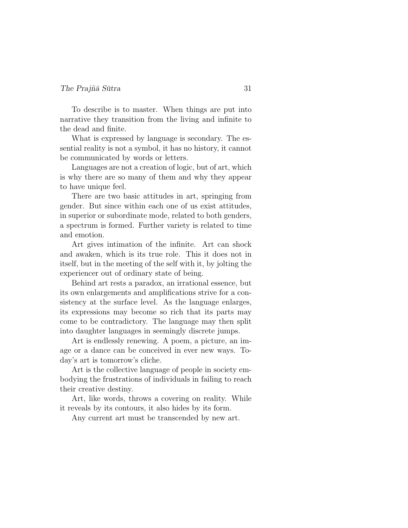To describe is to master. When things are put into narrative they transition from the living and infinite to the dead and finite.

What is expressed by language is secondary. The essential reality is not a symbol, it has no history, it cannot be communicated by words or letters.

Languages are not a creation of logic, but of art, which is why there are so many of them and why they appear to have unique feel.

There are two basic attitudes in art, springing from gender. But since within each one of us exist attitudes, in superior or subordinate mode, related to both genders, a spectrum is formed. Further variety is related to time and emotion.

Art gives intimation of the infinite. Art can shock and awaken, which is its true role. This it does not in itself, but in the meeting of the self with it, by jolting the experiencer out of ordinary state of being.

Behind art rests a paradox, an irrational essence, but its own enlargements and amplifications strive for a consistency at the surface level. As the language enlarges, its expressions may become so rich that its parts may come to be contradictory. The language may then split into daughter languages in seemingly discrete jumps.

Art is endlessly renewing. A poem, a picture, an image or a dance can be conceived in ever new ways. Today's art is tomorrow's cliche.

Art is the collective language of people in society embodying the frustrations of individuals in failing to reach their creative destiny.

Art, like words, throws a covering on reality. While it reveals by its contours, it also hides by its form.

Any current art must be transcended by new art.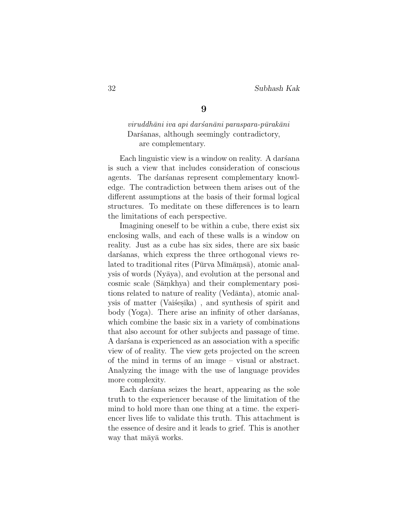$viruddh\bar{a}ni\;iva\;api\;dar\;an\bar{a}ni\;para\;apara-p\bar{u}rak\bar{a}ni$ Darsanas, although seemingly contradictory, are complementary.

Each linguistic view is a window on reality. A darsana is such a view that includes consideration of conscious agents. The darsanas represent complementary knowledge. The contradiction between them arises out of the different assumptions at the basis of their formal logical structures. To meditate on these differences is to learn the limitations of each perspective.

Imagining oneself to be within a cube, there exist six enclosing walls, and each of these walls is a window on reality. Just as a cube has six sides, there are six basic daršanas, which express the three orthogonal views related to traditional rites (Pūrva Mīmāmsā), atomic analysis of words (Ny¯aya), and evolution at the personal and cosmic scale (Sāmkhya) and their complementary positions related to nature of reality (Vedānta), atomic analysis of matter (Vaišesika), and synthesis of spirit and body (Yoga). There arise an infinity of other darsanas, which combine the basic six in a variety of combinations that also account for other subjects and passage of time. A darsana is experienced as an association with a specific view of of reality. The view gets projected on the screen of the mind in terms of an image – visual or abstract. Analyzing the image with the use of language provides more complexity.

Each dars an seizes the heart, appearing as the sole truth to the experiencer because of the limitation of the mind to hold more than one thing at a time. the experiencer lives life to validate this truth. This attachment is the essence of desire and it leads to grief. This is another way that may a works.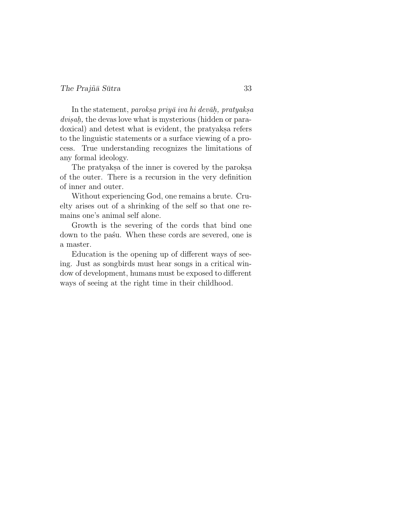### The Prajña Sūtra  $\frac{33}{4}$

In the statement, *paroksa priyā iva hi devāḥ, pratyaksa* dvisah, the devas love what is mysterious (hidden or paradoxical) and detest what is evident, the pratyaks arefers to the linguistic statements or a surface viewing of a process. True understanding recognizes the limitations of any formal ideology.

The pratyaks a of the inner is covered by the paroks. of the outer. There is a recursion in the very definition of inner and outer.

Without experiencing God, one remains a brute. Cruelty arises out of a shrinking of the self so that one remains one's animal self alone.

Growth is the severing of the cords that bind one down to the pas´u. When these cords are severed, one is a master.

Education is the opening up of different ways of seeing. Just as songbirds must hear songs in a critical window of development, humans must be exposed to different ways of seeing at the right time in their childhood.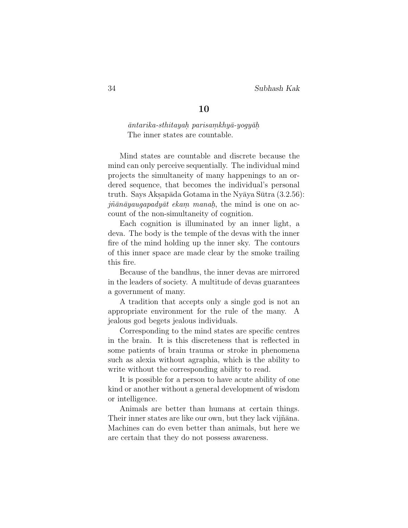$\bar{a}$ ntarika-sthitayah parisamkhy $\bar{a}$ -yogy $\bar{a}$ h The inner states are countable.

Mind states are countable and discrete because the mind can only perceive sequentially. The individual mind projects the simultaneity of many happenings to an ordered sequence, that becomes the individual's personal truth. Says Aksapāda Gotama in the Nyāya Sūtra  $(3.2.56)$ :  $j\tilde{n}\bar{a}n\bar{a}yaugapady\bar{a}t\ eka m\ manah$ , the mind is one on account of the non-simultaneity of cognition.

Each cognition is illuminated by an inner light, a deva. The body is the temple of the devas with the inner fire of the mind holding up the inner sky. The contours of this inner space are made clear by the smoke trailing this fire.

Because of the bandhus, the inner devas are mirrored in the leaders of society. A multitude of devas guarantees a government of many.

A tradition that accepts only a single god is not an appropriate environment for the rule of the many. A jealous god begets jealous individuals.

Corresponding to the mind states are specific centres in the brain. It is this discreteness that is reflected in some patients of brain trauma or stroke in phenomena such as alexia without agraphia, which is the ability to write without the corresponding ability to read.

It is possible for a person to have acute ability of one kind or another without a general development of wisdom or intelligence.

Animals are better than humans at certain things. Their inner states are like our own, but they lack vijñana. Machines can do even better than animals, but here we are certain that they do not possess awareness.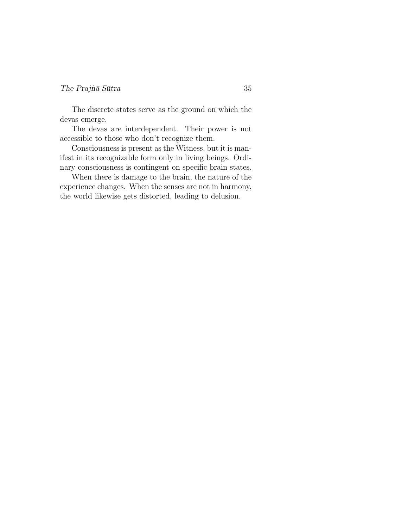### The Prajña Sūtra  $\frac{35}{2}$

The discrete states serve as the ground on which the devas emerge.

The devas are interdependent. Their power is not accessible to those who don't recognize them.

Consciousness is present as the Witness, but it is manifest in its recognizable form only in living beings. Ordinary consciousness is contingent on specific brain states.

When there is damage to the brain, the nature of the experience changes. When the senses are not in harmony, the world likewise gets distorted, leading to delusion.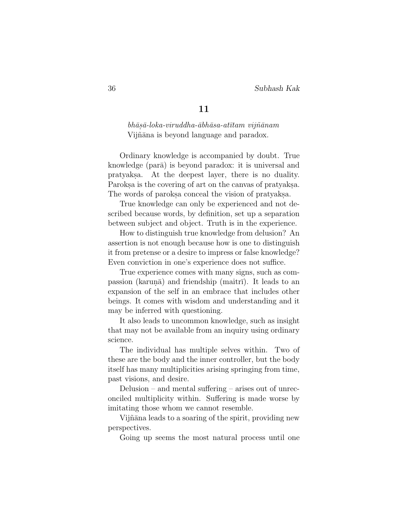$bh\bar{a}s\bar{a}$ -loka-viruddha- $\bar{a}bh\bar{a}s$ a-atītam vijn $\tilde{a}$ nam Vijñāna is beyond language and paradox.

Ordinary knowledge is accompanied by doubt. True knowledge (para) is beyond paradox: it is universal and pratyaks.a. At the deepest layer, there is no duality. Paroks a is the covering of art on the canvas of pratyaks. The words of paroks aconceal the vision of pratyaks.

True knowledge can only be experienced and not described because words, by definition, set up a separation between subject and object. Truth is in the experience.

How to distinguish true knowledge from delusion? An assertion is not enough because how is one to distinguish it from pretense or a desire to impress or false knowledge? Even conviction in one's experience does not suffice.

True experience comes with many signs, such as compassion (karun $\bar{a}$ ) and friendship (maitr $\bar{n}$ ). It leads to an expansion of the self in an embrace that includes other beings. It comes with wisdom and understanding and it may be inferred with questioning.

It also leads to uncommon knowledge, such as insight that may not be available from an inquiry using ordinary science.

The individual has multiple selves within. Two of these are the body and the inner controller, but the body itself has many multiplicities arising springing from time, past visions, and desire.

Delusion – and mental suffering – arises out of unreconciled multiplicity within. Suffering is made worse by imitating those whom we cannot resemble.

Vijñāna leads to a soaring of the spirit, providing new perspectives.

Going up seems the most natural process until one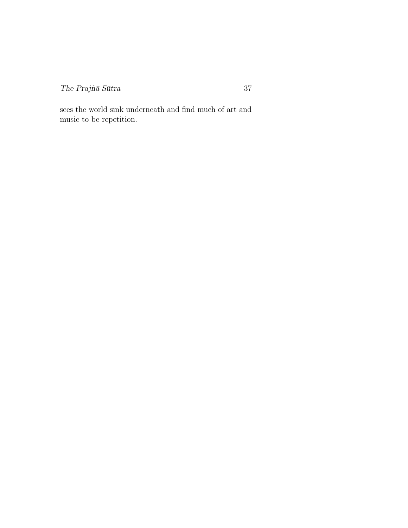$The Prajñā Sūtra$   $37$ 

sees the world sink underneath and find much of art and music to be repetition.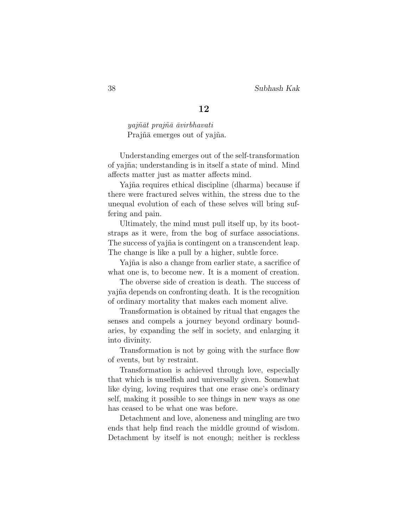$yaj\tilde{n}\bar{a}t$  praj $\tilde{n}\bar{a}$   $\bar{a}virbhavati$ Prajñā emerges out of yajña.

Understanding emerges out of the self-transformation of yajña; understanding is in itself a state of mind. Mind affects matter just as matter affects mind.

Yajña requires ethical discipline (dharma) because if there were fractured selves within, the stress due to the unequal evolution of each of these selves will bring suffering and pain.

Ultimately, the mind must pull itself up, by its bootstraps as it were, from the bog of surface associations. The success of yajña is contingent on a transcendent leap. The change is like a pull by a higher, subtle force.

Yajña is also a change from earlier state, a sacrifice of what one is, to become new. It is a moment of creation.

The obverse side of creation is death. The success of yajna depends on confronting death. It is the recognition of ordinary mortality that makes each moment alive.

Transformation is obtained by ritual that engages the senses and compels a journey beyond ordinary boundaries, by expanding the self in society, and enlarging it into divinity.

Transformation is not by going with the surface flow of events, but by restraint.

Transformation is achieved through love, especially that which is unselfish and universally given. Somewhat like dying, loving requires that one erase one's ordinary self, making it possible to see things in new ways as one has ceased to be what one was before.

Detachment and love, aloneness and mingling are two ends that help find reach the middle ground of wisdom. Detachment by itself is not enough; neither is reckless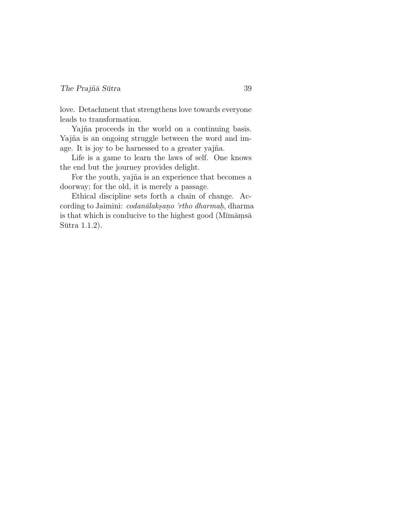love. Detachment that strengthens love towards everyone leads to transformation.

Yajña proceeds in the world on a continuing basis. Yajña is an ongoing struggle between the word and image. It is joy to be harnessed to a greater yajña.

Life is a game to learn the laws of self. One knows the end but the journey provides delight.

For the youth, yajña is an experience that becomes a doorway; for the old, it is merely a passage.

Ethical discipline sets forth a chain of change. According to Jaimini: *codanālakṣaṇo 'rtho dharmaḥ*, dharma is that which is conducive to the highest good ( $M\overline{\text{Im}a}$ ms $\overline{\text{a}}$  $Sūtra$  1.1.2).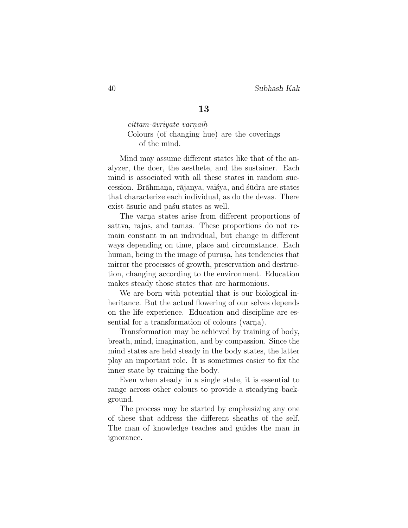cittam-āvriyate varnaih. Colours (of changing hue) are the coverings of the mind.

Mind may assume different states like that of the analyzer, the doer, the aesthete, and the sustainer. Each mind is associated with all these states in random succession. Brāhmana, rājanya, vaišya, and śūdra are states that characterize each individual, as do the devas. There exist  $\bar{a}$ suric and pas'u states as well.

The varna states arise from different proportions of sattva, rajas, and tamas. These proportions do not remain constant in an individual, but change in different ways depending on time, place and circumstance. Each human, being in the image of purusa, has tendencies that mirror the processes of growth, preservation and destruction, changing according to the environment. Education makes steady those states that are harmonious.

We are born with potential that is our biological inheritance. But the actual flowering of our selves depends on the life experience. Education and discipline are essential for a transformation of colours (varna).

Transformation may be achieved by training of body, breath, mind, imagination, and by compassion. Since the mind states are held steady in the body states, the latter play an important role. It is sometimes easier to fix the inner state by training the body.

Even when steady in a single state, it is essential to range across other colours to provide a steadying background.

The process may be started by emphasizing any one of these that address the different sheaths of the self. The man of knowledge teaches and guides the man in ignorance.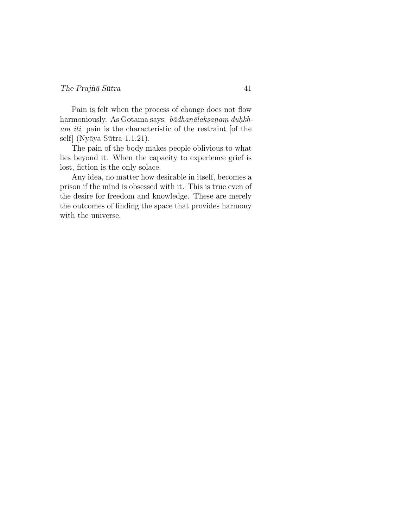#### The Prajñā Sūtra  $41$

Pain is felt when the process of change does not flow harmoniously. As Gotama says: bādhanālaksaņam duhkham iti, pain is the characteristic of the restraint [of the self (Nyāya Sūtra 1.1.21).

The pain of the body makes people oblivious to what lies beyond it. When the capacity to experience grief is lost, fiction is the only solace.

Any idea, no matter how desirable in itself, becomes a prison if the mind is obsessed with it. This is true even of the desire for freedom and knowledge. These are merely the outcomes of finding the space that provides harmony with the universe.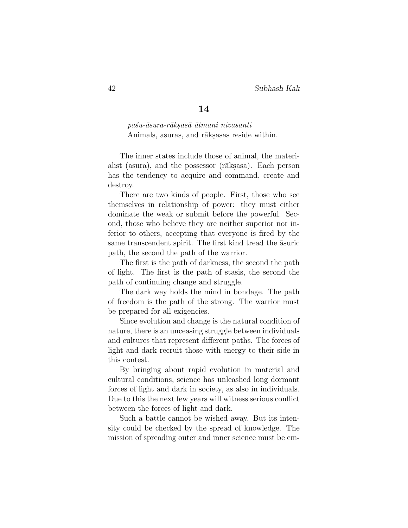pa´su-¯asura-r¯aks.as¯a ¯atmani nivasanti Animals, asuras, and rāks.asas reside within.

The inner states include those of animal, the materialist (asura), and the possessor (rāks.asa). Each person has the tendency to acquire and command, create and destroy.

There are two kinds of people. First, those who see themselves in relationship of power: they must either dominate the weak or submit before the powerful. Second, those who believe they are neither superior nor inferior to others, accepting that everyone is fired by the same transcendent spirit. The first kind tread the  $\bar{a}$ suric path, the second the path of the warrior.

The first is the path of darkness, the second the path of light. The first is the path of stasis, the second the path of continuing change and struggle.

The dark way holds the mind in bondage. The path of freedom is the path of the strong. The warrior must be prepared for all exigencies.

Since evolution and change is the natural condition of nature, there is an unceasing struggle between individuals and cultures that represent different paths. The forces of light and dark recruit those with energy to their side in this contest.

By bringing about rapid evolution in material and cultural conditions, science has unleashed long dormant forces of light and dark in society, as also in individuals. Due to this the next few years will witness serious conflict between the forces of light and dark.

Such a battle cannot be wished away. But its intensity could be checked by the spread of knowledge. The mission of spreading outer and inner science must be em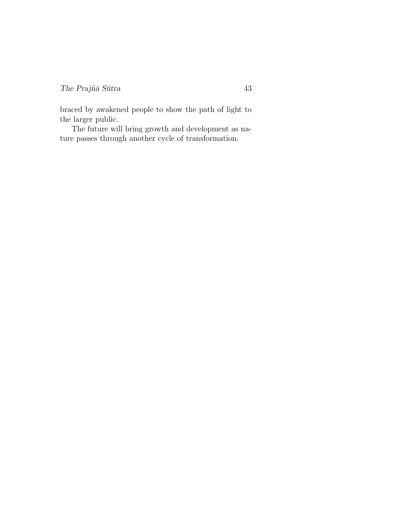braced by awakened people to show the path of light to the larger public.

The future will bring growth and development as nature passes through another cycle of transformation.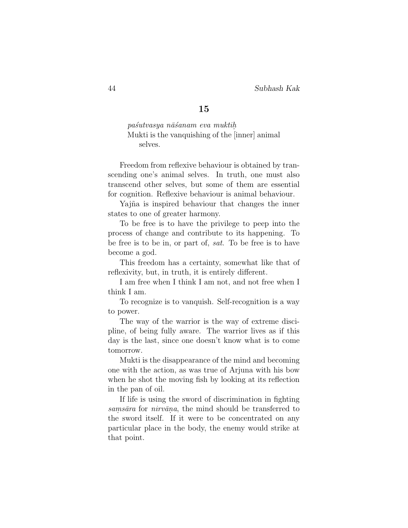pa´sutvasya n¯a´sanam eva muktih. Mukti is the vanquishing of the [inner] animal selves.

Freedom from reflexive behaviour is obtained by transcending one's animal selves. In truth, one must also transcend other selves, but some of them are essential for cognition. Reflexive behaviour is animal behaviour.

Yajña is inspired behaviour that changes the inner states to one of greater harmony.

To be free is to have the privilege to peep into the process of change and contribute to its happening. To be free is to be in, or part of, sat. To be free is to have become a god.

This freedom has a certainty, somewhat like that of reflexivity, but, in truth, it is entirely different.

I am free when I think I am not, and not free when I think I am.

To recognize is to vanquish. Self-recognition is a way to power.

The way of the warrior is the way of extreme discipline, of being fully aware. The warrior lives as if this day is the last, since one doesn't know what is to come tomorrow.

Mukti is the disappearance of the mind and becoming one with the action, as was true of Arjuna with his bow when he shot the moving fish by looking at its reflection in the pan of oil.

If life is using the sword of discrimination in fighting samsāra for nirvāna, the mind should be transferred to the sword itself. If it were to be concentrated on any particular place in the body, the enemy would strike at that point.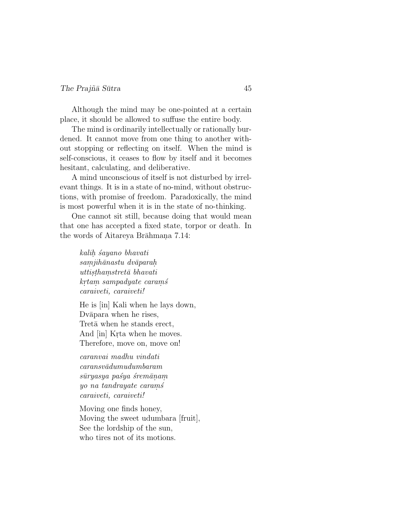#### $The Praj\tilde{n}\bar{a} S\bar{u}$ tra  $45$

Although the mind may be one-pointed at a certain place, it should be allowed to suffuse the entire body.

The mind is ordinarily intellectually or rationally burdened. It cannot move from one thing to another without stopping or reflecting on itself. When the mind is self-conscious, it ceases to flow by itself and it becomes hesitant, calculating, and deliberative.

A mind unconscious of itself is not disturbed by irrelevant things. It is in a state of no-mind, without obstructions, with promise of freedom. Paradoxically, the mind is most powerful when it is in the state of no-thinking.

One cannot sit still, because doing that would mean that one has accepted a fixed state, torpor or death. In the words of Aitareya Brāhmana 7.14:

> kalih sayano bhavati  $\it{samjih\bar{a}}$ nastu dv $\bar{a}$ paraḥ  $utt is thamstret\bar{a}$  bhavati  $k$ r $t$ a $m$  sampad $y$ a $t$ e  $c$ a $r$ a $m$ ś caraiveti, caraiveti!

He is [in] Kali when he lays down, Dvāpara when he rises, Tret<sub>a</sub> when he stands erect, And [in] Krta when he moves. Therefore, move on, move on!

caranvai madhu vindati  $caransv\bar{a}dumudumbaram$ sūryasya paśya śremānam yo na tandrayate carams caraiveti, caraiveti!

Moving one finds honey, Moving the sweet udumbara [fruit], See the lordship of the sun, who tires not of its motions.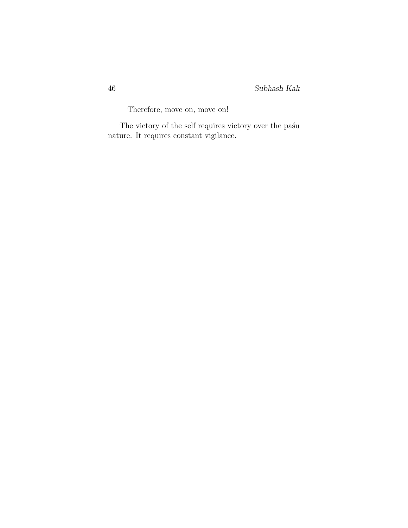Therefore, move on, move on!

The victory of the self requires victory over the pa $\pm$ u nature. It requires constant vigilance.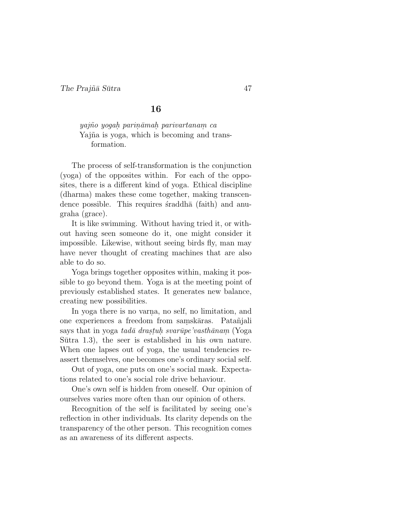yajño yogah parināmah parivartanam ca Yajña is yoga, which is becoming and transformation.

The process of self-transformation is the conjunction (yoga) of the opposites within. For each of the opposites, there is a different kind of yoga. Ethical discipline (dharma) makes these come together, making transcendence possible. This requires straddha (faith) and anugraha (grace).

It is like swimming. Without having tried it, or without having seen someone do it, one might consider it impossible. Likewise, without seeing birds fly, man may have never thought of creating machines that are also able to do so.

Yoga brings together opposites within, making it possible to go beyond them. Yoga is at the meeting point of previously established states. It generates new balance, creating new possibilities.

In yoga there is no varna, no self, no limitation, and one experiences a freedom from samskāras. Patañjali says that in yoga *tadā drastuh svarūpe'vasthānam* (Yoga Sutra  $1.3$ , the seer is established in his own nature. When one lapses out of yoga, the usual tendencies reassert themselves, one becomes one's ordinary social self.

Out of yoga, one puts on one's social mask. Expectations related to one's social role drive behaviour.

One's own self is hidden from oneself. Our opinion of ourselves varies more often than our opinion of others.

Recognition of the self is facilitated by seeing one's reflection in other individuals. Its clarity depends on the transparency of the other person. This recognition comes as an awareness of its different aspects.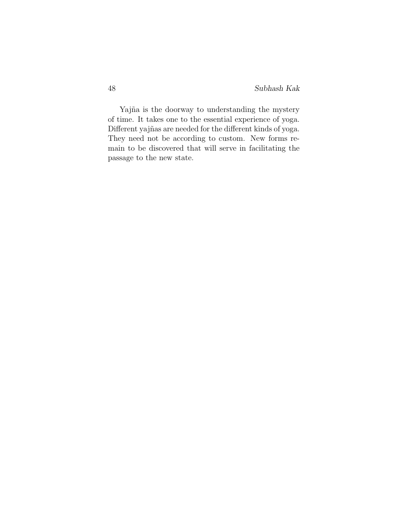Yajña is the doorway to understanding the mystery of time. It takes one to the essential experience of yoga. Different yajñas are needed for the different kinds of yoga. They need not be according to custom. New forms remain to be discovered that will serve in facilitating the passage to the new state.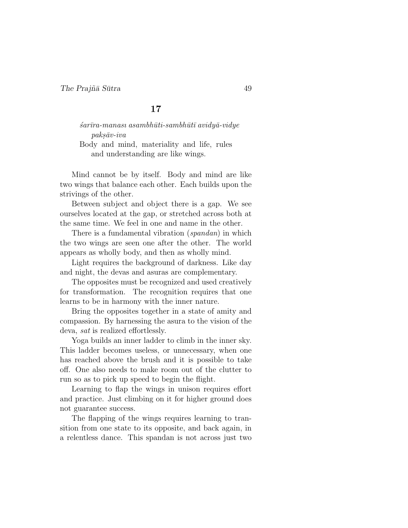$\frac{1}{2}$ sar $\bar{u}$ ra-manası asambhūti-sambhūtī avidyā-vidye  $paks\bar{a}v-iva$ Body and mind, materiality and life, rules and understanding are like wings.

Mind cannot be by itself. Body and mind are like two wings that balance each other. Each builds upon the strivings of the other.

Between subject and object there is a gap. We see ourselves located at the gap, or stretched across both at the same time. We feel in one and name in the other.

There is a fundamental vibration *(spandan)* in which the two wings are seen one after the other. The world appears as wholly body, and then as wholly mind.

Light requires the background of darkness. Like day and night, the devas and asuras are complementary.

The opposites must be recognized and used creatively for transformation. The recognition requires that one learns to be in harmony with the inner nature.

Bring the opposites together in a state of amity and compassion. By harnessing the asura to the vision of the deva, sat is realized effortlessly.

Yoga builds an inner ladder to climb in the inner sky. This ladder becomes useless, or unnecessary, when one has reached above the brush and it is possible to take off. One also needs to make room out of the clutter to run so as to pick up speed to begin the flight.

Learning to flap the wings in unison requires effort and practice. Just climbing on it for higher ground does not guarantee success.

The flapping of the wings requires learning to transition from one state to its opposite, and back again, in a relentless dance. This spandan is not across just two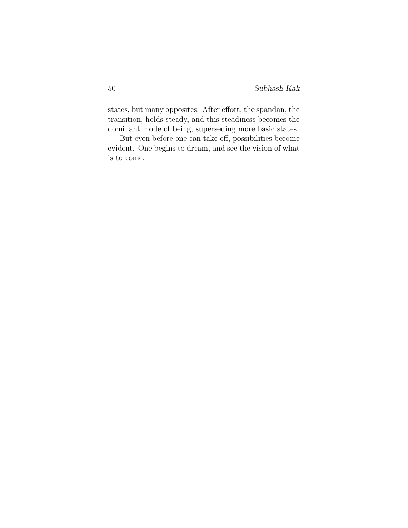states, but many opposites. After effort, the spandan, the transition, holds steady, and this steadiness becomes the dominant mode of being, superseding more basic states.

But even before one can take off, possibilities become evident. One begins to dream, and see the vision of what is to come.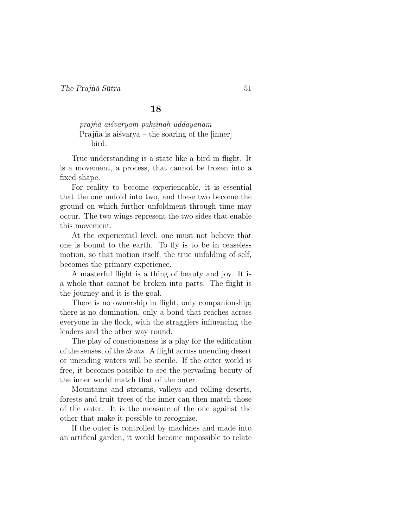# $praj\~n\~a$ iśvarya $m$  paksinah u $ddayanam$ Prajn $\bar{a}$  is aisvarya – the soaring of the [inner] bird.

True understanding is a state like a bird in flight. It is a movement, a process, that cannot be frozen into a fixed shape.

For reality to become experiencable, it is essential that the one unfold into two, and these two become the ground on which further unfoldment through time may occur. The two wings represent the two sides that enable this movement.

At the experiential level, one must not believe that one is bound to the earth. To fly is to be in ceaseless motion, so that motion itself, the true unfolding of self, becomes the primary experience.

A masterful flight is a thing of beauty and joy. It is a whole that cannot be broken into parts. The flight is the journey and it is the goal.

There is no ownership in flight, only companionship; there is no domination, only a bond that reaches across everyone in the flock, with the stragglers influencing the leaders and the other way round.

The play of consciousness is a play for the edification of the senses, of the devas. A flight across unending desert or unending waters will be sterile. If the outer world is free, it becomes possible to see the pervading beauty of the inner world match that of the outer.

Mountains and streams, valleys and rolling deserts, forests and fruit trees of the inner can then match those of the outer. It is the measure of the one against the other that make it possible to recognize.

If the outer is controlled by machines and made into an artifical garden, it would become impossible to relate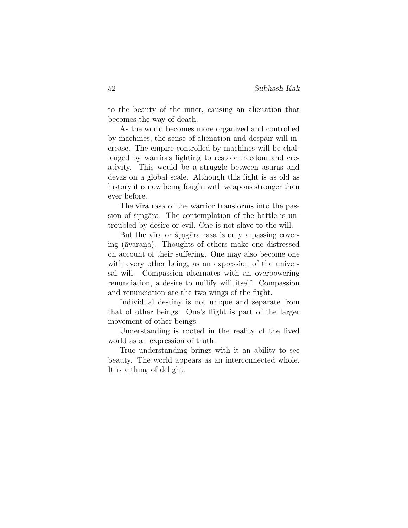to the beauty of the inner, causing an alienation that becomes the way of death.

As the world becomes more organized and controlled by machines, the sense of alienation and despair will increase. The empire controlled by machines will be challenged by warriors fighting to restore freedom and creativity. This would be a struggle between asuras and devas on a global scale. Although this fight is as old as history it is now being fought with weapons stronger than ever before.

The vīra rasa of the warrior transforms into the passion of stragara. The contemplation of the battle is untroubled by desire or evil. One is not slave to the will.

But the vīra or stragāra rasa is only a passing covering ( $\bar{a}$ varana). Thoughts of others make one distressed on account of their suffering. One may also become one with every other being, as an expression of the universal will. Compassion alternates with an overpowering renunciation, a desire to nullify will itself. Compassion and renunciation are the two wings of the flight.

Individual destiny is not unique and separate from that of other beings. One's flight is part of the larger movement of other beings.

Understanding is rooted in the reality of the lived world as an expression of truth.

True understanding brings with it an ability to see beauty. The world appears as an interconnected whole. It is a thing of delight.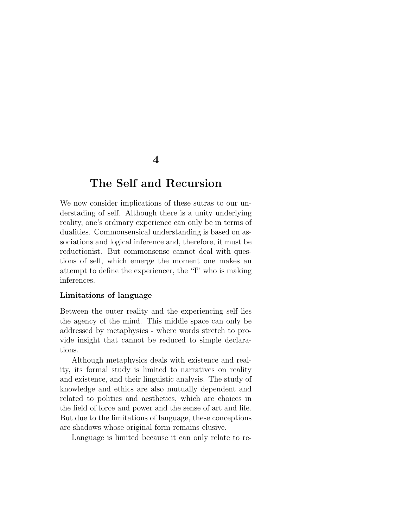# The Self and Recursion

We now consider implications of these subtrates to our understading of self. Although there is a unity underlying reality, one's ordinary experience can only be in terms of dualities. Commonsensical understanding is based on associations and logical inference and, therefore, it must be reductionist. But commonsense cannot deal with questions of self, which emerge the moment one makes an attempt to define the experiencer, the "I" who is making inferences.

# Limitations of language

Between the outer reality and the experiencing self lies the agency of the mind. This middle space can only be addressed by metaphysics - where words stretch to provide insight that cannot be reduced to simple declarations.

Although metaphysics deals with existence and reality, its formal study is limited to narratives on reality and existence, and their linguistic analysis. The study of knowledge and ethics are also mutually dependent and related to politics and aesthetics, which are choices in the field of force and power and the sense of art and life. But due to the limitations of language, these conceptions are shadows whose original form remains elusive.

Language is limited because it can only relate to re-

# 4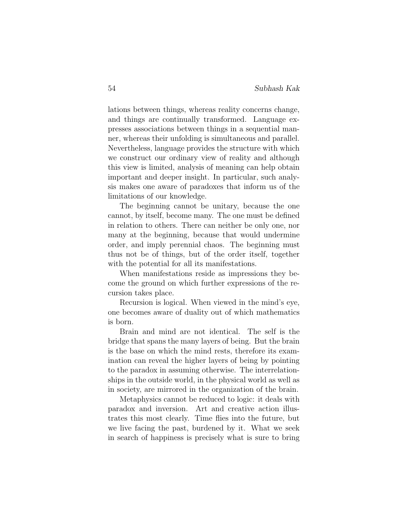lations between things, whereas reality concerns change, and things are continually transformed. Language expresses associations between things in a sequential manner, whereas their unfolding is simultaneous and parallel. Nevertheless, language provides the structure with which we construct our ordinary view of reality and although this view is limited, analysis of meaning can help obtain important and deeper insight. In particular, such analysis makes one aware of paradoxes that inform us of the limitations of our knowledge.

The beginning cannot be unitary, because the one cannot, by itself, become many. The one must be defined in relation to others. There can neither be only one, nor many at the beginning, because that would undermine order, and imply perennial chaos. The beginning must thus not be of things, but of the order itself, together with the potential for all its manifestations.

When manifestations reside as impressions they become the ground on which further expressions of the recursion takes place.

Recursion is logical. When viewed in the mind's eye, one becomes aware of duality out of which mathematics is born.

Brain and mind are not identical. The self is the bridge that spans the many layers of being. But the brain is the base on which the mind rests, therefore its examination can reveal the higher layers of being by pointing to the paradox in assuming otherwise. The interrelationships in the outside world, in the physical world as well as in society, are mirrored in the organization of the brain.

Metaphysics cannot be reduced to logic: it deals with paradox and inversion. Art and creative action illustrates this most clearly. Time flies into the future, but we live facing the past, burdened by it. What we seek in search of happiness is precisely what is sure to bring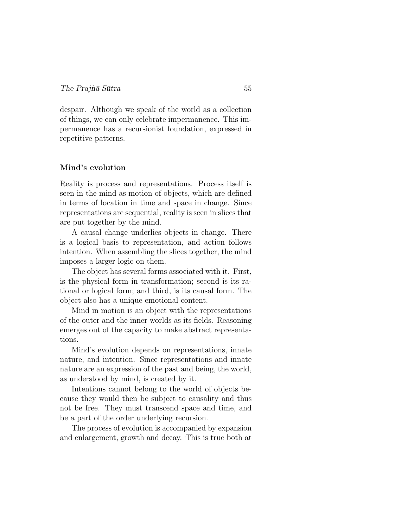despair. Although we speak of the world as a collection of things, we can only celebrate impermanence. This impermanence has a recursionist foundation, expressed in repetitive patterns.

### Mind's evolution

Reality is process and representations. Process itself is seen in the mind as motion of objects, which are defined in terms of location in time and space in change. Since representations are sequential, reality is seen in slices that are put together by the mind.

A causal change underlies objects in change. There is a logical basis to representation, and action follows intention. When assembling the slices together, the mind imposes a larger logic on them.

The object has several forms associated with it. First, is the physical form in transformation; second is its rational or logical form; and third, is its causal form. The object also has a unique emotional content.

Mind in motion is an object with the representations of the outer and the inner worlds as its fields. Reasoning emerges out of the capacity to make abstract representations.

Mind's evolution depends on representations, innate nature, and intention. Since representations and innate nature are an expression of the past and being, the world, as understood by mind, is created by it.

Intentions cannot belong to the world of objects because they would then be subject to causality and thus not be free. They must transcend space and time, and be a part of the order underlying recursion.

The process of evolution is accompanied by expansion and enlargement, growth and decay. This is true both at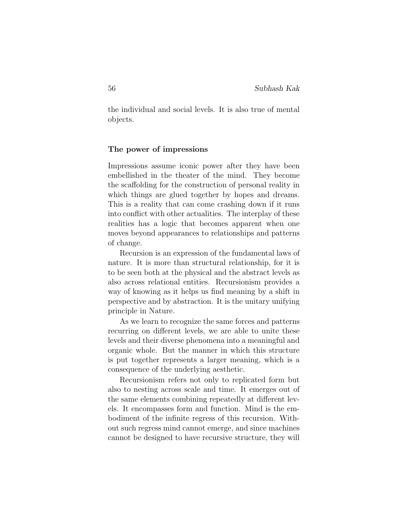the individual and social levels. It is also true of mental objects.

#### The power of impressions

Impressions assume iconic power after they have been embellished in the theater of the mind. They become the scaffolding for the construction of personal reality in which things are glued together by hopes and dreams. This is a reality that can come crashing down if it runs into conflict with other actualities. The interplay of these realities has a logic that becomes apparent when one moves beyond appearances to relationships and patterns of change.

Recursion is an expression of the fundamental laws of nature. It is more than structural relationship, for it is to be seen both at the physical and the abstract levels as also across relational entities. Recursionism provides a way of knowing as it helps us find meaning by a shift in perspective and by abstraction. It is the unitary unifying principle in Nature.

As we learn to recognize the same forces and patterns recurring on different levels, we are able to unite these levels and their diverse phenomena into a meaningful and organic whole. But the manner in which this structure is put together represents a larger meaning, which is a consequence of the underlying aesthetic.

Recursionism refers not only to replicated form but also to nesting across scale and time. It emerges out of the same elements combining repeatedly at different levels. It encompasses form and function. Mind is the embodiment of the infinite regress of this recursion. Without such regress mind cannot emerge, and since machines cannot be designed to have recursive structure, they will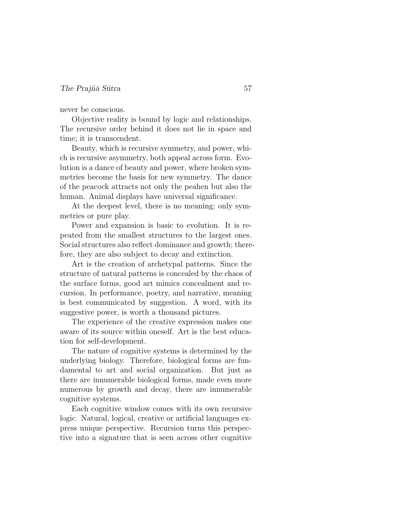never be conscious.

Objective reality is bound by logic and relationships. The recursive order behind it does not lie in space and time; it is transcendent.

Beauty, which is recursive symmetry, and power, which is recursive asymmetry, both appeal across form. Evolution is a dance of beauty and power, where broken symmetries become the basis for new symmetry. The dance of the peacock attracts not only the peahen but also the human. Animal displays have universal significance.

At the deepest level, there is no meaning; only symmetries or pure play.

Power and expansion is basic to evolution. It is repeated from the smallest structures to the largest ones. Social structures also reflect dominance and growth; therefore, they are also subject to decay and extinction.

Art is the creation of archetypal patterns. Since the structure of natural patterns is concealed by the chaos of the surface forms, good art mimics concealment and recursion. In performance, poetry, and narrative, meaning is best communicated by suggestion. A word, with its suggestive power, is worth a thousand pictures.

The experience of the creative expression makes one aware of its source within oneself. Art is the best education for self-development.

The nature of cognitive systems is determined by the underlying biology. Therefore, biological forms are fundamental to art and social organization. But just as there are innumerable biological forms, made even more numerous by growth and decay, there are innumerable cognitive systems.

Each cognitive window comes with its own recursive logic. Natural, logical, creative or artificial languages express unique perspective. Recursion turns this perspective into a signature that is seen across other cognitive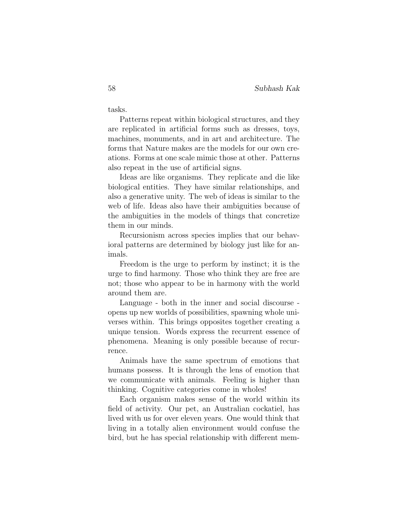tasks.

Patterns repeat within biological structures, and they are replicated in artificial forms such as dresses, toys, machines, monuments, and in art and architecture. The forms that Nature makes are the models for our own creations. Forms at one scale mimic those at other. Patterns also repeat in the use of artificial signs.

Ideas are like organisms. They replicate and die like biological entities. They have similar relationships, and also a generative unity. The web of ideas is similar to the web of life. Ideas also have their ambiguities because of the ambiguities in the models of things that concretize them in our minds.

Recursionism across species implies that our behavioral patterns are determined by biology just like for animals.

Freedom is the urge to perform by instinct; it is the urge to find harmony. Those who think they are free are not; those who appear to be in harmony with the world around them are.

Language - both in the inner and social discourse opens up new worlds of possibilities, spawning whole universes within. This brings opposites together creating a unique tension. Words express the recurrent essence of phenomena. Meaning is only possible because of recurrence.

Animals have the same spectrum of emotions that humans possess. It is through the lens of emotion that we communicate with animals. Feeling is higher than thinking. Cognitive categories come in wholes!

Each organism makes sense of the world within its field of activity. Our pet, an Australian cockatiel, has lived with us for over eleven years. One would think that living in a totally alien environment would confuse the bird, but he has special relationship with different mem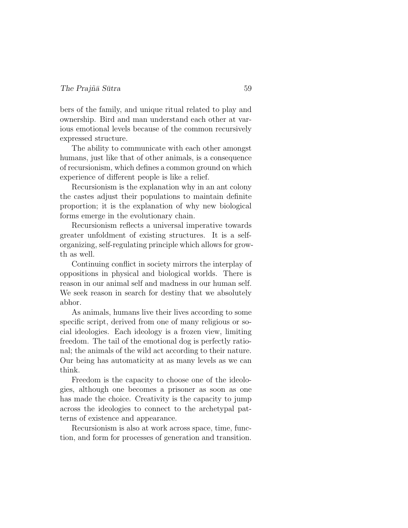bers of the family, and unique ritual related to play and ownership. Bird and man understand each other at various emotional levels because of the common recursively expressed structure.

The ability to communicate with each other amongst humans, just like that of other animals, is a consequence of recursionism, which defines a common ground on which experience of different people is like a relief.

Recursionism is the explanation why in an ant colony the castes adjust their populations to maintain definite proportion; it is the explanation of why new biological forms emerge in the evolutionary chain.

Recursionism reflects a universal imperative towards greater unfoldment of existing structures. It is a selforganizing, self-regulating principle which allows for growth as well.

Continuing conflict in society mirrors the interplay of oppositions in physical and biological worlds. There is reason in our animal self and madness in our human self. We seek reason in search for destiny that we absolutely abhor.

As animals, humans live their lives according to some specific script, derived from one of many religious or social ideologies. Each ideology is a frozen view, limiting freedom. The tail of the emotional dog is perfectly rational; the animals of the wild act according to their nature. Our being has automaticity at as many levels as we can think.

Freedom is the capacity to choose one of the ideologies, although one becomes a prisoner as soon as one has made the choice. Creativity is the capacity to jump across the ideologies to connect to the archetypal patterns of existence and appearance.

Recursionism is also at work across space, time, function, and form for processes of generation and transition.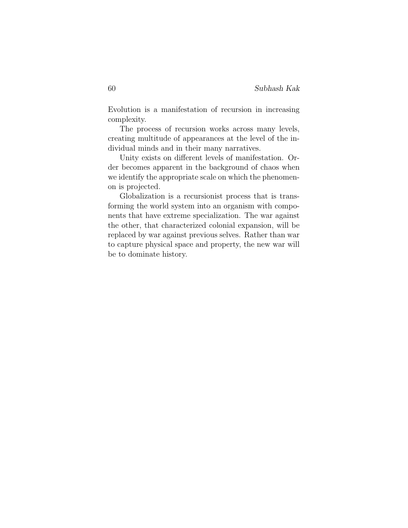Evolution is a manifestation of recursion in increasing complexity.

The process of recursion works across many levels, creating multitude of appearances at the level of the individual minds and in their many narratives.

Unity exists on different levels of manifestation. Order becomes apparent in the background of chaos when we identify the appropriate scale on which the phenomenon is projected.

Globalization is a recursionist process that is transforming the world system into an organism with components that have extreme specialization. The war against the other, that characterized colonial expansion, will be replaced by war against previous selves. Rather than war to capture physical space and property, the new war will be to dominate history.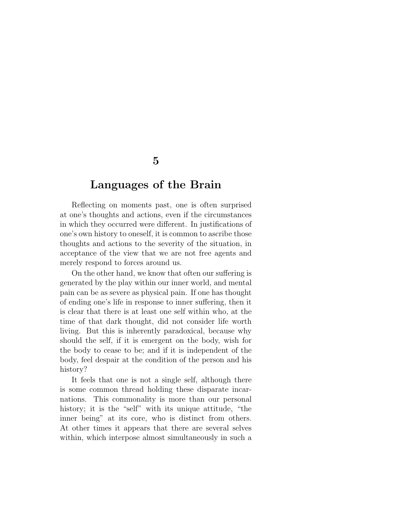# Languages of the Brain

Reflecting on moments past, one is often surprised at one's thoughts and actions, even if the circumstances in which they occurred were different. In justifications of one's own history to oneself, it is common to ascribe those thoughts and actions to the severity of the situation, in acceptance of the view that we are not free agents and merely respond to forces around us.

On the other hand, we know that often our suffering is generated by the play within our inner world, and mental pain can be as severe as physical pain. If one has thought of ending one's life in response to inner suffering, then it is clear that there is at least one self within who, at the time of that dark thought, did not consider life worth living. But this is inherently paradoxical, because why should the self, if it is emergent on the body, wish for the body to cease to be; and if it is independent of the body, feel despair at the condition of the person and his history?

It feels that one is not a single self, although there is some common thread holding these disparate incarnations. This commonality is more than our personal history; it is the "self" with its unique attitude, "the inner being" at its core, who is distinct from others. At other times it appears that there are several selves within, which interpose almost simultaneously in such a

# 5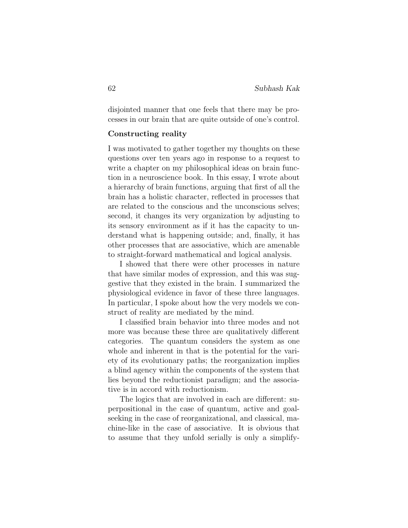disjointed manner that one feels that there may be processes in our brain that are quite outside of one's control.

### Constructing reality

I was motivated to gather together my thoughts on these questions over ten years ago in response to a request to write a chapter on my philosophical ideas on brain function in a neuroscience book. In this essay, I wrote about a hierarchy of brain functions, arguing that first of all the brain has a holistic character, reflected in processes that are related to the conscious and the unconscious selves; second, it changes its very organization by adjusting to its sensory environment as if it has the capacity to understand what is happening outside; and, finally, it has other processes that are associative, which are amenable to straight-forward mathematical and logical analysis.

I showed that there were other processes in nature that have similar modes of expression, and this was suggestive that they existed in the brain. I summarized the physiological evidence in favor of these three languages. In particular, I spoke about how the very models we construct of reality are mediated by the mind.

I classified brain behavior into three modes and not more was because these three are qualitatively different categories. The quantum considers the system as one whole and inherent in that is the potential for the variety of its evolutionary paths; the reorganization implies a blind agency within the components of the system that lies beyond the reductionist paradigm; and the associative is in accord with reductionism.

The logics that are involved in each are different: superpositional in the case of quantum, active and goalseeking in the case of reorganizational, and classical, machine-like in the case of associative. It is obvious that to assume that they unfold serially is only a simplify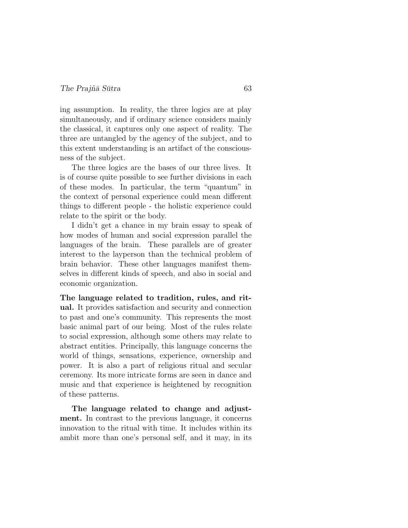ing assumption. In reality, the three logics are at play simultaneously, and if ordinary science considers mainly the classical, it captures only one aspect of reality. The three are untangled by the agency of the subject, and to this extent understanding is an artifact of the consciousness of the subject.

The three logics are the bases of our three lives. It is of course quite possible to see further divisions in each of these modes. In particular, the term "quantum" in the context of personal experience could mean different things to different people - the holistic experience could relate to the spirit or the body.

I didn't get a chance in my brain essay to speak of how modes of human and social expression parallel the languages of the brain. These parallels are of greater interest to the layperson than the technical problem of brain behavior. These other languages manifest themselves in different kinds of speech, and also in social and economic organization.

The language related to tradition, rules, and ritual. It provides satisfaction and security and connection to past and one's community. This represents the most basic animal part of our being. Most of the rules relate to social expression, although some others may relate to abstract entities. Principally, this language concerns the world of things, sensations, experience, ownership and power. It is also a part of religious ritual and secular ceremony. Its more intricate forms are seen in dance and music and that experience is heightened by recognition of these patterns.

The language related to change and adjustment. In contrast to the previous language, it concerns innovation to the ritual with time. It includes within its ambit more than one's personal self, and it may, in its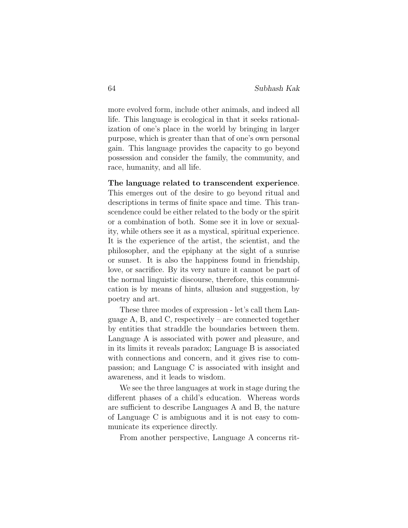more evolved form, include other animals, and indeed all life. This language is ecological in that it seeks rationalization of one's place in the world by bringing in larger purpose, which is greater than that of one's own personal gain. This language provides the capacity to go beyond possession and consider the family, the community, and race, humanity, and all life.

#### The language related to transcendent experience.

This emerges out of the desire to go beyond ritual and descriptions in terms of finite space and time. This transcendence could be either related to the body or the spirit or a combination of both. Some see it in love or sexuality, while others see it as a mystical, spiritual experience. It is the experience of the artist, the scientist, and the philosopher, and the epiphany at the sight of a sunrise or sunset. It is also the happiness found in friendship, love, or sacrifice. By its very nature it cannot be part of the normal linguistic discourse, therefore, this communication is by means of hints, allusion and suggestion, by poetry and art.

These three modes of expression - let's call them Language A, B, and C, respectively – are connected together by entities that straddle the boundaries between them. Language A is associated with power and pleasure, and in its limits it reveals paradox; Language B is associated with connections and concern, and it gives rise to compassion; and Language C is associated with insight and awareness, and it leads to wisdom.

We see the three languages at work in stage during the different phases of a child's education. Whereas words are sufficient to describe Languages A and B, the nature of Language C is ambiguous and it is not easy to communicate its experience directly.

From another perspective, Language A concerns rit-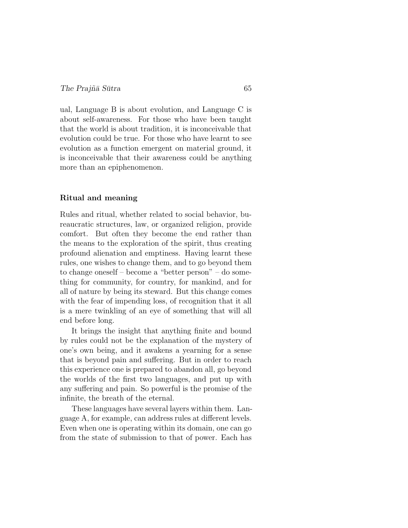ual, Language B is about evolution, and Language C is about self-awareness. For those who have been taught that the world is about tradition, it is inconceivable that evolution could be true. For those who have learnt to see evolution as a function emergent on material ground, it is inconceivable that their awareness could be anything more than an epiphenomenon.

### Ritual and meaning

Rules and ritual, whether related to social behavior, bureaucratic structures, law, or organized religion, provide comfort. But often they become the end rather than the means to the exploration of the spirit, thus creating profound alienation and emptiness. Having learnt these rules, one wishes to change them, and to go beyond them to change oneself – become a "better person" – do something for community, for country, for mankind, and for all of nature by being its steward. But this change comes with the fear of impending loss, of recognition that it all is a mere twinkling of an eye of something that will all end before long.

It brings the insight that anything finite and bound by rules could not be the explanation of the mystery of one's own being, and it awakens a yearning for a sense that is beyond pain and suffering. But in order to reach this experience one is prepared to abandon all, go beyond the worlds of the first two languages, and put up with any suffering and pain. So powerful is the promise of the infinite, the breath of the eternal.

These languages have several layers within them. Language A, for example, can address rules at different levels. Even when one is operating within its domain, one can go from the state of submission to that of power. Each has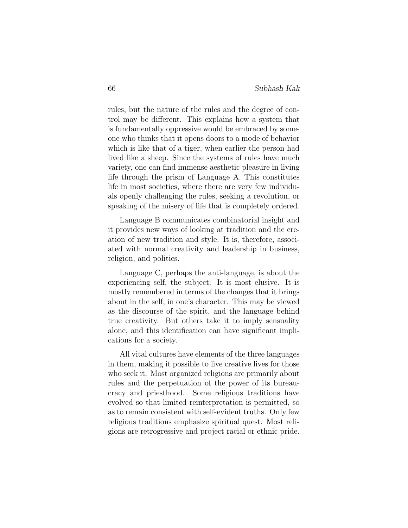rules, but the nature of the rules and the degree of control may be different. This explains how a system that is fundamentally oppressive would be embraced by someone who thinks that it opens doors to a mode of behavior which is like that of a tiger, when earlier the person had lived like a sheep. Since the systems of rules have much variety, one can find immense aesthetic pleasure in living life through the prism of Language A. This constitutes life in most societies, where there are very few individuals openly challenging the rules, seeking a revolution, or speaking of the misery of life that is completely ordered.

Language B communicates combinatorial insight and it provides new ways of looking at tradition and the creation of new tradition and style. It is, therefore, associated with normal creativity and leadership in business, religion, and politics.

Language C, perhaps the anti-language, is about the experiencing self, the subject. It is most elusive. It is mostly remembered in terms of the changes that it brings about in the self, in one's character. This may be viewed as the discourse of the spirit, and the language behind true creativity. But others take it to imply sensuality alone, and this identification can have significant implications for a society.

All vital cultures have elements of the three languages in them, making it possible to live creative lives for those who seek it. Most organized religions are primarily about rules and the perpetuation of the power of its bureaucracy and priesthood. Some religious traditions have evolved so that limited reinterpretation is permitted, so as to remain consistent with self-evident truths. Only few religious traditions emphasize spiritual quest. Most religions are retrogressive and project racial or ethnic pride.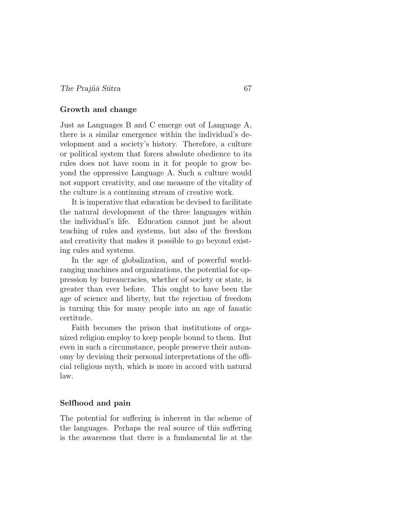### Growth and change

Just as Languages B and C emerge out of Language A, there is a similar emergence within the individual's development and a society's history. Therefore, a culture or political system that forces absolute obedience to its rules does not have room in it for people to grow beyond the oppressive Language A. Such a culture would not support creativity, and one measure of the vitality of the culture is a continuing stream of creative work.

It is imperative that education be devised to facilitate the natural development of the three languages within the individual's life. Education cannot just be about teaching of rules and systems, but also of the freedom and creativity that makes it possible to go beyond existing rules and systems.

In the age of globalization, and of powerful worldranging machines and organizations, the potential for oppression by bureaucracies, whether of society or state, is greater than ever before. This ought to have been the age of science and liberty, but the rejection of freedom is turning this for many people into an age of fanatic certitude.

Faith becomes the prison that institutions of organized religion employ to keep people bound to them. But even in such a circumstance, people preserve their autonomy by devising their personal interpretations of the official religious myth, which is more in accord with natural law.

#### Selfhood and pain

The potential for suffering is inherent in the scheme of the languages. Perhaps the real source of this suffering is the awareness that there is a fundamental lie at the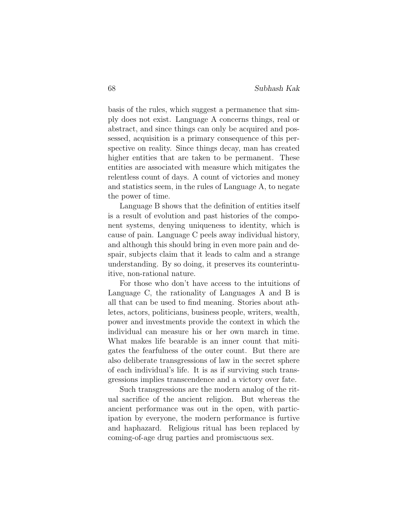basis of the rules, which suggest a permanence that simply does not exist. Language A concerns things, real or abstract, and since things can only be acquired and possessed, acquisition is a primary consequence of this perspective on reality. Since things decay, man has created higher entities that are taken to be permanent. These entities are associated with measure which mitigates the relentless count of days. A count of victories and money and statistics seem, in the rules of Language A, to negate the power of time.

Language B shows that the definition of entities itself is a result of evolution and past histories of the component systems, denying uniqueness to identity, which is cause of pain. Language C peels away individual history, and although this should bring in even more pain and despair, subjects claim that it leads to calm and a strange understanding. By so doing, it preserves its counterintuitive, non-rational nature.

For those who don't have access to the intuitions of Language C, the rationality of Languages A and B is all that can be used to find meaning. Stories about athletes, actors, politicians, business people, writers, wealth, power and investments provide the context in which the individual can measure his or her own march in time. What makes life bearable is an inner count that mitigates the fearfulness of the outer count. But there are also deliberate transgressions of law in the secret sphere of each individual's life. It is as if surviving such transgressions implies transcendence and a victory over fate.

Such transgressions are the modern analog of the ritual sacrifice of the ancient religion. But whereas the ancient performance was out in the open, with participation by everyone, the modern performance is furtive and haphazard. Religious ritual has been replaced by coming-of-age drug parties and promiscuous sex.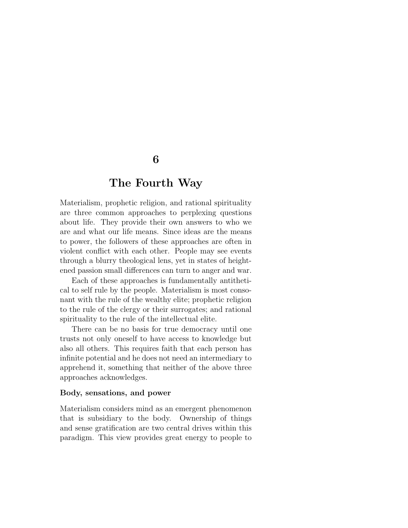# The Fourth Way

Materialism, prophetic religion, and rational spirituality are three common approaches to perplexing questions about life. They provide their own answers to who we are and what our life means. Since ideas are the means to power, the followers of these approaches are often in violent conflict with each other. People may see events through a blurry theological lens, yet in states of heightened passion small differences can turn to anger and war.

Each of these approaches is fundamentally antithetical to self rule by the people. Materialism is most consonant with the rule of the wealthy elite; prophetic religion to the rule of the clergy or their surrogates; and rational spirituality to the rule of the intellectual elite.

There can be no basis for true democracy until one trusts not only oneself to have access to knowledge but also all others. This requires faith that each person has infinite potential and he does not need an intermediary to apprehend it, something that neither of the above three approaches acknowledges.

### Body, sensations, and power

Materialism considers mind as an emergent phenomenon that is subsidiary to the body. Ownership of things and sense gratification are two central drives within this paradigm. This view provides great energy to people to

## 6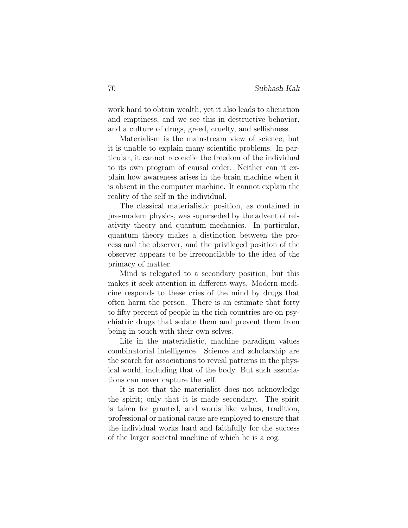work hard to obtain wealth, yet it also leads to alienation and emptiness, and we see this in destructive behavior, and a culture of drugs, greed, cruelty, and selfishness.

Materialism is the mainstream view of science, but it is unable to explain many scientific problems. In particular, it cannot reconcile the freedom of the individual to its own program of causal order. Neither can it explain how awareness arises in the brain machine when it is absent in the computer machine. It cannot explain the reality of the self in the individual.

The classical materialistic position, as contained in pre-modern physics, was superseded by the advent of relativity theory and quantum mechanics. In particular, quantum theory makes a distinction between the process and the observer, and the privileged position of the observer appears to be irreconcilable to the idea of the primacy of matter.

Mind is relegated to a secondary position, but this makes it seek attention in different ways. Modern medicine responds to these cries of the mind by drugs that often harm the person. There is an estimate that forty to fifty percent of people in the rich countries are on psychiatric drugs that sedate them and prevent them from being in touch with their own selves.

Life in the materialistic, machine paradigm values combinatorial intelligence. Science and scholarship are the search for associations to reveal patterns in the physical world, including that of the body. But such associations can never capture the self.

It is not that the materialist does not acknowledge the spirit; only that it is made secondary. The spirit is taken for granted, and words like values, tradition, professional or national cause are employed to ensure that the individual works hard and faithfully for the success of the larger societal machine of which he is a cog.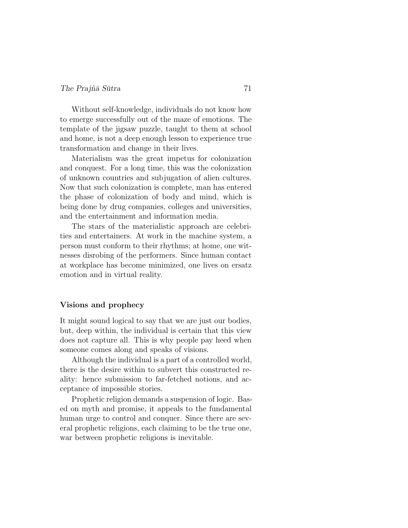## $The Prai\tilde{n}\bar{a} S\bar{u}$ tra  $71$

Without self-knowledge, individuals do not know how to emerge successfully out of the maze of emotions. The template of the jigsaw puzzle, taught to them at school and home, is not a deep enough lesson to experience true transformation and change in their lives.

Materialism was the great impetus for colonization and conquest. For a long time, this was the colonization of unknown countries and subjugation of alien cultures. Now that such colonization is complete, man has entered the phase of colonization of body and mind, which is being done by drug companies, colleges and universities, and the entertainment and information media.

The stars of the materialistic approach are celebrities and entertainers. At work in the machine system, a person must conform to their rhythms; at home, one witnesses disrobing of the performers. Since human contact at workplace has become minimized, one lives on ersatz emotion and in virtual reality.

### Visions and prophecy

It might sound logical to say that we are just our bodies, but, deep within, the individual is certain that this view does not capture all. This is why people pay heed when someone comes along and speaks of visions.

Although the individual is a part of a controlled world, there is the desire within to subvert this constructed reality: hence submission to far-fetched notions, and acceptance of impossible stories.

Prophetic religion demands a suspension of logic. Based on myth and promise, it appeals to the fundamental human urge to control and conquer. Since there are several prophetic religions, each claiming to be the true one, war between prophetic religions is inevitable.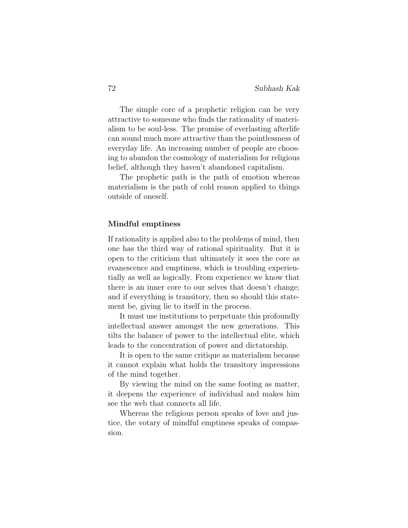The simple core of a prophetic religion can be very attractive to someone who finds the rationality of materialism to be soul-less. The promise of everlasting afterlife can sound much more attractive than the pointlessness of everyday life. An increasing number of people are choosing to abandon the cosmology of materialism for religious belief, although they haven't abandoned capitalism.

The prophetic path is the path of emotion whereas materialism is the path of cold reason applied to things outside of oneself.

### Mindful emptiness

If rationality is applied also to the problems of mind, then one has the third way of rational spirituality. But it is open to the criticism that ultimately it sees the core as evanescence and emptiness, which is troubling experientially as well as logically. From experience we know that there is an inner core to our selves that doesn't change; and if everything is transitory, then so should this statement be, giving lie to itself in the process.

It must use institutions to perpetuate this profoundly intellectual answer amongst the new generations. This tilts the balance of power to the intellectual elite, which leads to the concentration of power and dictatorship.

It is open to the same critique as materialism because it cannot explain what holds the transitory impressions of the mind together.

By viewing the mind on the same footing as matter, it deepens the experience of individual and makes him see the web that connects all life.

Whereas the religious person speaks of love and justice, the votary of mindful emptiness speaks of compassion.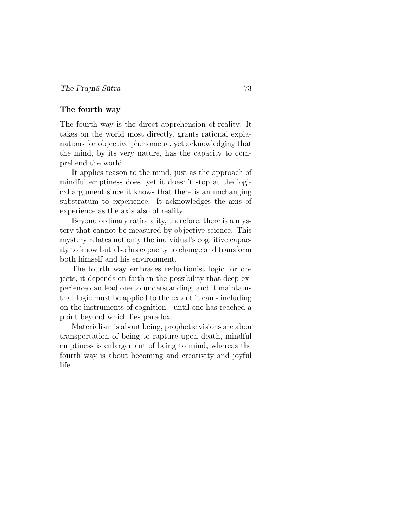## The fourth way

The fourth way is the direct apprehension of reality. It takes on the world most directly, grants rational explanations for objective phenomena, yet acknowledging that the mind, by its very nature, has the capacity to comprehend the world.

It applies reason to the mind, just as the approach of mindful emptiness does, yet it doesn't stop at the logical argument since it knows that there is an unchanging substratum to experience. It acknowledges the axis of experience as the axis also of reality.

Beyond ordinary rationality, therefore, there is a mystery that cannot be measured by objective science. This mystery relates not only the individual's cognitive capacity to know but also his capacity to change and transform both himself and his environment.

The fourth way embraces reductionist logic for objects, it depends on faith in the possibility that deep experience can lead one to understanding, and it maintains that logic must be applied to the extent it can - including on the instruments of cognition - until one has reached a point beyond which lies paradox.

Materialism is about being, prophetic visions are about transportation of being to rapture upon death, mindful emptiness is enlargement of being to mind, whereas the fourth way is about becoming and creativity and joyful life.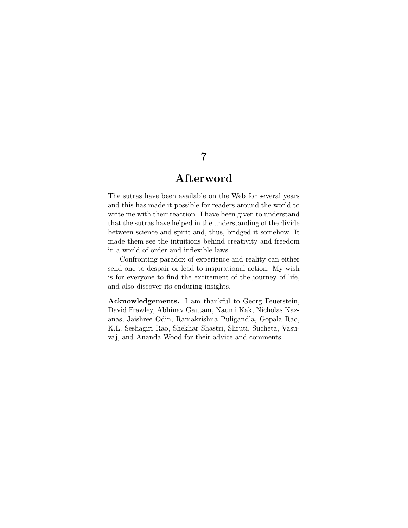## Afterword

The sutras have been available on the Web for several years and this has made it possible for readers around the world to write me with their reaction. I have been given to understand that the sutras have helped in the understanding of the divide between science and spirit and, thus, bridged it somehow. It made them see the intuitions behind creativity and freedom in a world of order and inflexible laws.

Confronting paradox of experience and reality can either send one to despair or lead to inspirational action. My wish is for everyone to find the excitement of the journey of life, and also discover its enduring insights.

Acknowledgements. I am thankful to Georg Feuerstein, David Frawley, Abhinav Gautam, Naumi Kak, Nicholas Kazanas, Jaishree Odin, Ramakrishna Puligandla, Gopala Rao, K.L. Seshagiri Rao, Shekhar Shastri, Shruti, Sucheta, Vasuvaj, and Ananda Wood for their advice and comments.

## 7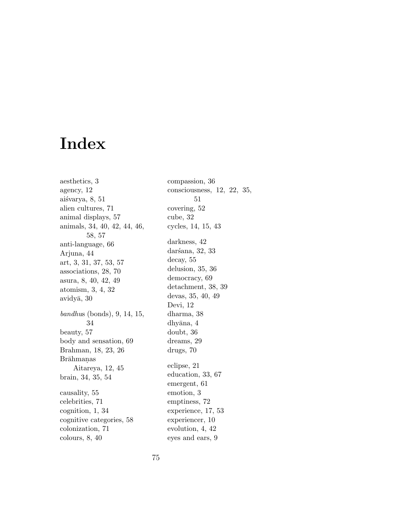# Index

aesthetics, 3 agency, 12 aiśvarya, 8, 51 alien cultures, 71 animal displays, 57 animals, 34, 40, 42, 44, 46, 58, 57 anti-language, 66 Arjuna, 44 art, 3, 31, 37, 53, 57 associations, 28, 70 asura, 8, 40, 42, 49 atomism, 3, 4, 32  $\alpha$ vidy $\bar{a}$ , 30 bandhus (bonds), 9, 14, 15, 34 beauty, 57 body and sensation, 69 Brahman, 18, 23, 26 Brāhmaņas Aitareya, 12, 45 brain, 34, 35, 54 causality, 55 celebrities, 71 cognition, 1, 34 cognitive categories, 58 colonization, 71 colours, 8, 40

compassion, 36 consciousness, 12, 22, 35, 51 covering, 52 cube, 32 cycles, 14, 15, 43 darkness, 42 darśana, 32, 33 decay, 55 delusion, 35, 36 democracy, 69 detachment, 38, 39 devas, 35, 40, 49 Devi, 12 dharma, 38 dhyāna, 4 doubt, 36 dreams, 29 drugs, 70 eclipse, 21 education, 33, 67 emergent, 61 emotion, 3 emptiness, 72 experience, 17, 53 experiencer, 10 evolution, 4, 42 eyes and ears, 9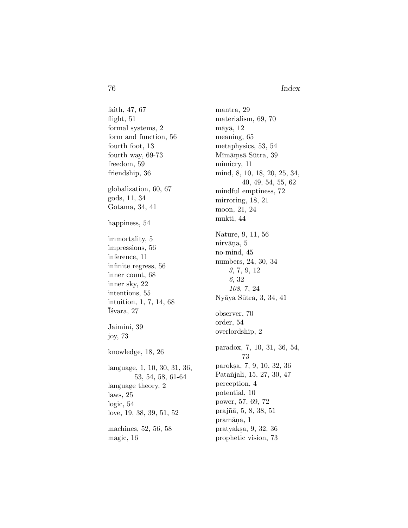76 Index

faith, 47, 67 flight, 51 formal systems, 2 form and function, 56 fourth foot, 13 fourth way, 69-73 freedom, 59 friendship, 36 globalization, 60, 67 gods, 11, 34 Gotama, 34, 41 happiness, 54 immortality, 5 impressions, 56 inference, 11 infinite regress, 56 inner count, 68 inner sky, 22 intentions, 55 intuition, 1, 7, 14, 68 ¯I´svara, 27 Jaimini, 39 joy, 73 knowledge, 18, 26 language, 1, 10, 30, 31, 36, 53, 54, 58, 61-64 language theory, 2 laws, 25 logic, 54 love, 19, 38, 39, 51, 52 machines, 52, 56, 58 magic, 16

mantra, 29 materialism, 69, 70  $m\bar{a}y\bar{a}$ , 12 meaning, 65 metaphysics, 53, 54 Mīmāṃsā Sūtra, 39 mimicry, 11 mind, 8, 10, 18, 20, 25, 34, 40, 49, 54, 55, 62 mindful emptiness, 72 mirroring, 18, 21 moon, 21, 24 mukti, 44 Nature, 9, 11, 56 nirvāna, 5 no-mind, 45 numbers, 24, 30, 34 3, 7, 9, 12 6, 32 108, 7, 24 Nyāya Sūtra, 3, 34, 41 observer, 70 order, 54 overlordship, 2 paradox, 7, 10, 31, 36, 54, 73 paroks.a, 7, 9, 10, 32, 36 Patañjali, 15, 27, 30, 47 perception, 4 potential, 10 power, 57, 69, 72 prajñā, 5, 8, 38, 51 pramāna, 1 pratyaks.a, 9, 32, 36 prophetic vision, 73